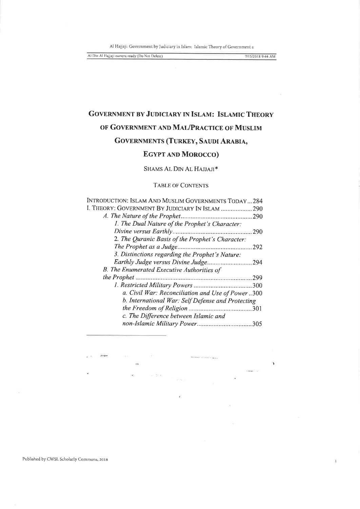Al Hajjaji: Government by Judiciary in Islam: Islamic Theory of Government a

Al Din Al Hajjaji camera ready (Do Not Delete)

7/15/2018 9:44 AM

# **GOVERNMENT BY JUDICIARY IN ISLAM: ISLAMIC THEORY** OF GOVERNMENT AND MAL/PRACTICE OF MUSLIM

# GOVERNMENTS (TURKEY, SAUDI ARABIA,

# **EGYPT AND MOROCCO)**

# SHAMS AL DIN AL HAJJAJI\*

#### **TABLE OF CONTENTS**

| INTRODUCTION: ISLAM AND MUSLIM GOVERNMENTS TODAY284 |  |
|-----------------------------------------------------|--|
| I. THEORY: GOVERNMENT BY JUDICIARY IN ISLAM  290    |  |
| 290                                                 |  |
| 1. The Dual Nature of the Prophet's Character:      |  |
|                                                     |  |
| 2. The Quranic Basis of the Prophet's Character:    |  |
| 292                                                 |  |
| 3. Distinctions regarding the Prophet's Nature:     |  |
| .294                                                |  |
| <b>B.</b> The Enumerated Executive Authorities of   |  |
| 299                                                 |  |
|                                                     |  |
| a. Civil War: Reconciliation and Use of Power300    |  |
| b. International War: Self Defense and Protecting   |  |
|                                                     |  |
| c. The Difference between Islamic and               |  |
|                                                     |  |
|                                                     |  |

 $\overline{\phantom{a}}$ 

 $\hat{\mathbf{x}}$ 

 $\sim$ 

Published by CWSL Scholarly Commons, 2018

non

 $\alpha$ 

ican.

近禁れ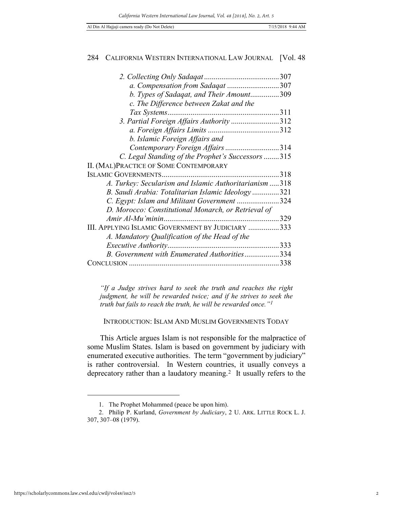| a. Compensation from Sadaqat 307                        |      |
|---------------------------------------------------------|------|
| b. Types of Sadaqat, and Their Amount309                |      |
| c. The Difference between Zakat and the                 |      |
| Tax Systems                                             |      |
| 3. Partial Foreign Affairs Authority 312                |      |
|                                                         |      |
| b. Islamic Foreign Affairs and                          |      |
| Contemporary Foreign Affairs314                         |      |
| C. Legal Standing of the Prophet's Successors315        |      |
| II. (MAL)PRACTICE OF SOME CONTEMPORARY                  |      |
|                                                         | 318  |
| A. Turkey: Secularism and Islamic Authoritarianism  318 |      |
| B. Saudi Arabia: Totalitarian Islamic Ideology321       |      |
| C. Egypt: Islam and Militant Government 324             |      |
| D. Morocco: Constitutional Monarch, or Retrieval of     |      |
|                                                         | 329  |
| III. APPLYING ISLAMIC GOVERNMENT BY JUDICIARY 333       |      |
| A. Mandatory Qualification of the Head of the           |      |
| <i>Executive Authority</i><br>.                         | 333  |
| B. Government with Enumerated Authorities334            |      |
|                                                         | .338 |

*"If a Judge strives hard to seek the truth and reaches the right judgment, he will be rewarded twice; and if he strives to seek the truth but fails to reach the truth, he will be rewarded once."[1](#page-1-0)*

# INTRODUCTION: ISLAM AND MUSLIM GOVERNMENTS TODAY

This Article argues Islam is not responsible for the malpractice of some Muslim States. Islam is based on government by judiciary with enumerated executive authorities. The term "government by judiciary" is rather controversial. In Western countries, it usually conveys a deprecatory rather than a laudatory meaning.[2](#page-1-1) It usually refers to the

<sup>1.</sup> The Prophet Mohammed (peace be upon him).

<span id="page-1-1"></span><span id="page-1-0"></span><sup>2.</sup> Philip P. Kurland, *Government by Judiciary*, 2 U. ARK. LITTLE ROCK L. J. 307, 307–08 (1979).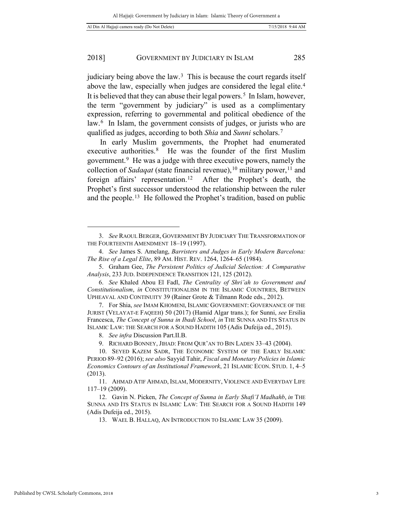judiciary being above the law. $3$  This is because the court regards itself above the law, especially when judges are considered the legal elite.[4](#page-2-1)  It is believed that they can abuse their legal powers.<sup>5</sup> In Islam, however, the term "government by judiciary" is used as a complimentary expression, referring to governmental and political obedience of the law.[6](#page-2-3) In Islam, the government consists of judges, or jurists who are qualified as judges, according to both *Shia* and *Sunni* scholars.[7](#page-2-4)

In early Muslim governments, the Prophet had enumerated executive authorities.[8](#page-2-5) He was the founder of the first Muslim government.[9](#page-2-6) He was a judge with three executive powers, namely the collection of *Sadaqat* (state financial revenue), <sup>[10](#page-2-7)</sup> military power, <sup>[11](#page-2-8)</sup> and foreign affairs' representation.<sup>[12](#page-2-9)</sup> After the Prophet's death, the Prophet's first successor understood the relationship between the ruler and the people.<sup>13</sup> He followed the Prophet's tradition, based on public

<span id="page-2-0"></span><sup>3.</sup> *See* RAOUL BERGER, GOVERNMENT BY JUDICIARY THE TRANSFORMATION OF THE FOURTEENTH AMENDMENT 18–19 (1997).

<span id="page-2-1"></span><sup>4.</sup> *See* James S. Amelang, *Barristers and Judges in Early Modern Barcelona: The Rise of a Legal Elite*, 89 AM. HIST. REV. 1264, 1264–65 (1984).

<span id="page-2-2"></span><sup>5.</sup> Graham Gee, *The Persistent Politics of Judicial Selection: A Comparative Analysis*, 233 JUD. INDEPENDENCE TRANSITION 121, 125 (2012).

<span id="page-2-3"></span><sup>6.</sup> *See* Khaled Abou El Fadl, *The Centrality of Shri'ah to Government and Constitutionalism*, *in* CONSTITUTIONALISM IN THE ISLAMIC COUNTRIES, BETWEEN UPHEAVAL AND CONTINUITY 39 (Rainer Grote & Tilmann Rode eds., 2012).

<span id="page-2-4"></span><sup>7.</sup> For Shia, *see* IMAM KHOMENI, ISLAMIC GOVERNMENT: GOVERNANCE OF THE JURIST (VELAYAT-E FAQEEH) 50 (2017) (Hamid Algar trans.); for Sunni, *see* Ersilia Francesca, *The Concept of Sunna in Ibadi School*, *in* THE SUNNA AND ITS STATUS IN ISLAMIC LAW: THE SEARCH FOR A SOUND HADITH 105 (Adis Dufeija ed., 2015).

<sup>8.</sup> *See infra* Discussion Part.II.B.

<sup>9.</sup> RICHARD BONNEY, JIHAD: FROM QUR'AN TO BIN LADEN 33–43 (2004).

<span id="page-2-7"></span><span id="page-2-6"></span><span id="page-2-5"></span><sup>10.</sup> SEYED KAZEM SADR, THE ECONOMIC SYSTEM OF THE EARLY ISLAMIC PERIOD 89–92 (2016); *see also* Sayyid Tahir, *Fiscal and Monetary Policies in Islamic Economics Contours of an Institutional Framework*, 21 ISLAMIC ECON. STUD. 1, 4–5 (2013).

<span id="page-2-8"></span><sup>11.</sup> AHMAD ATIF AHMAD, ISLAM, MODERNITY, VIOLENCE AND EVERYDAY LIFE 117–19 (2009).

<span id="page-2-10"></span><span id="page-2-9"></span><sup>12.</sup> Gavin N. Picken, *The Concept of Sunna in Early Shafi'I Madhahb*, *in* THE SUNNA AND ITS STATUS IN ISLAMIC LAW: THE SEARCH FOR A SOUND HADITH 149 (Adis Dufeija ed., 2015).

<sup>13.</sup> WAEL B. HALLAQ, AN INTRODUCTION TO ISLAMIC LAW 35 (2009).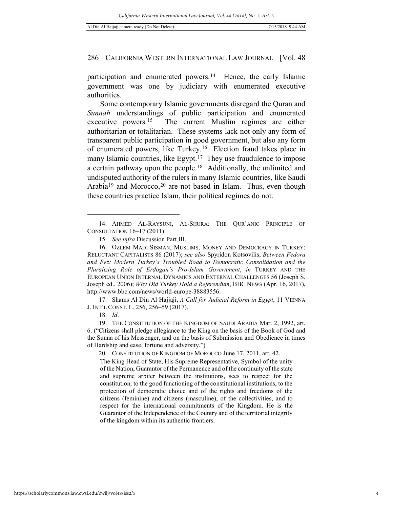participation and enumerated powers.<sup>14</sup> Hence, the early Islamic government was one by judiciary with enumerated executive authorities.

Some contemporary Islamic governments disregard the Quran and *Sunnah* understandings of public participation and enumerated executive powers.[15](#page-3-1) The current Muslim regimes are either authoritarian or totalitarian. These systems lack not only any form of transparent public participation in good government, but also any form of enumerated powers, like Turkey.[16](#page-3-2) Election fraud takes place in many Islamic countries, like Egypt.<sup>17</sup> They use fraudulence to impose a certain pathway upon the people.[18](#page-3-4) Additionally, the unlimited and undisputed authority of the rulers in many Islamic countries, like Saudi Arabia<sup>[19](#page-3-5)</sup> and Morocco,<sup>[20](#page-3-6)</sup> are not based in Islam. Thus, even though these countries practice Islam, their political regimes do not.

<span id="page-3-3"></span>17. Shams Al Din Al Hajjaji, *A Call for Judicial Reform in Egypt*, 11 VIENNA J. INT'L CONST. L. 256, 256–59 (2017).

18. *Id*.

-

20. CONSTITUTION OF KINGDOM OF MOROCCO June 17, 2011, art. 42.

The King Head of State, His Supreme Representative, Symbol of the unity of the Nation, Guarantor of the Permanence and of the continuity of the state and supreme arbiter between the institutions, sees to respect for the constitution, to the good functioning of the constitutional institutions, to the protection of democratic choice and of the rights and freedoms of the citizens (feminine) and citizens (masculine), of the collectivities, and to respect for the international commitments of the Kingdom. He is the Guarantor of the Independence of the Country and of the territorial integrity of the kingdom within its authentic frontiers.

<span id="page-3-0"></span><sup>14.</sup> AHMED AL-RAYSUNI, AL-SHURA: THE QUR'ANIC PRINCIPLE OF CONSULTATION 16–17 (2011).

<sup>15.</sup> *See infra* Discussion Part.III.

<span id="page-3-2"></span><span id="page-3-1"></span><sup>16.</sup> OZLEM MADI-SISMAN, MUSLIMS, MONEY AND DEMOCRACY IN TURKEY: RELUCTANT CAPITALISTS 86 (2017); *see also* Spyridon Kotsovilis, *Between Fedora and Fez: Modern Turkey's Troubled Road to Democratic Consolidation and the Pluralizing Role of Erdogan's Pro-Islam Government*, *in* TURKEY AND THE EUROPEAN UNION INTERNAL DYNAMICS AND EXTERNAL CHALLENGES 56 (Joseph S. Joseph ed., 2006); *Why Did Turkey Hold a Referendum*, BBC NEWS (Apr. 16, 2017), http://www.bbc.com/news/world-europe-38883556.

<span id="page-3-6"></span><span id="page-3-5"></span><span id="page-3-4"></span><sup>19.</sup> THE CONSTITUTION OF THE KINGDOM OF SAUDI ARABIA Mar. 2, 1992, art. 6. ("Citizens shall pledge allegiance to the King on the basis of the Book of God and the Sunna of his Messenger, and on the basis of Submission and Obedience in times of Hardship and ease, fortune and adversity.")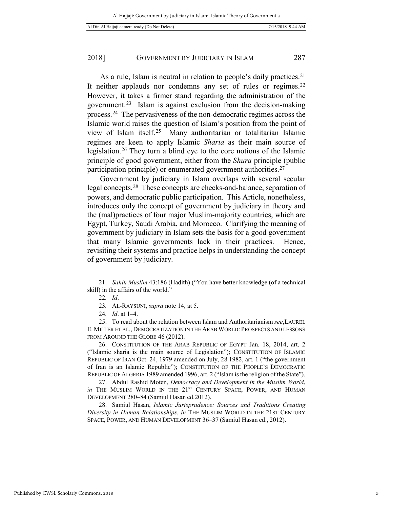As a rule, Islam is neutral in relation to people's daily practices.<sup>21</sup> It neither applauds nor condemns any set of rules or regimes.<sup>22</sup> However, it takes a firmer stand regarding the administration of the government.[23](#page-4-2) Islam is against exclusion from the decision-making process.[24](#page-4-3) The pervasiveness of the non-democratic regimes across the Islamic world raises the question of Islam's position from the point of view of Islam itself.[25](#page-4-4) Many authoritarian or totalitarian Islamic regimes are keen to apply Islamic *Sharia* as their main source of legislation.[26](#page-4-5) They turn a blind eye to the core notions of the Islamic principle of good government, either from the *Shura* principle (public participation principle) or enumerated government authorities.<sup>[27](#page-4-6)</sup>

Government by judiciary in Islam overlaps with several secular legal concepts.[28](#page-4-7) These concepts are checks-and-balance, separation of powers, and democratic public participation. This Article, nonetheless, introduces only the concept of government by judiciary in theory and the (mal)practices of four major Muslim-majority countries, which are Egypt, Turkey, Saudi Arabia, and Morocco. Clarifying the meaning of government by judiciary in Islam sets the basis for a good government that many Islamic governments lack in their practices. Hence, revisiting their systems and practice helps in understanding the concept of government by judiciary.

-

<span id="page-4-5"></span>26. CONSTITUTION OF THE ARAB REPUBLIC OF EGYPT Jan. 18, 2014, art. 2 ("Islamic sharia is the main source of Legislation"); CONSTITUTION OF ISLAMIC REPUBLIC OF IRAN Oct. 24, 1979 amended on July, 28 1982, art. 1 ("the government of Iran is an Islamic Republic"); CONSTITUTION OF THE PEOPLE'S DEMOCRATIC REPUBLIC OF ALGERIA 1989 amended 1996, art. 2 ("Islam is the religion of the State").

<span id="page-4-6"></span>27. Abdul Rashid Moten, *Democracy and Development in the Muslim World*, *in* THE MUSLIM WORLD IN THE 21<sup>ST</sup> CENTURY SPACE, POWER, AND HUMAN DEVELOPMENT 280–84 (Samiul Hasan ed.2012).

<span id="page-4-7"></span>28. Samiul Hasan, *Islamic Jurisprudence: Sources and Traditions Creating Diversity in Human Relationships*, *in* THE MUSLIM WORLD IN THE 21ST CENTURY SPACE, POWER, AND HUMAN DEVELOPMENT 36–37 (Samiul Hasan ed., 2012).

<span id="page-4-1"></span><span id="page-4-0"></span><sup>21.</sup> *Sahih Muslim* 43:186 (Hadith) ("You have better knowledge (of a technical skill) in the affairs of the world."

<sup>22</sup>*. Id*.

<sup>23</sup>*.* AL-RAYSUNI, *supra* note 14, at 5.

<sup>24</sup>*. Id*. at 1–4.

<span id="page-4-4"></span><span id="page-4-3"></span><span id="page-4-2"></span><sup>25.</sup> To read about the relation between Islam and Authoritarianism *see*,LAUREL E. MILLER ET AL., DEMOCRATIZATION IN THE ARAB WORLD: PROSPECTS AND LESSONS FROM AROUND THE GLOBE 46 (2012).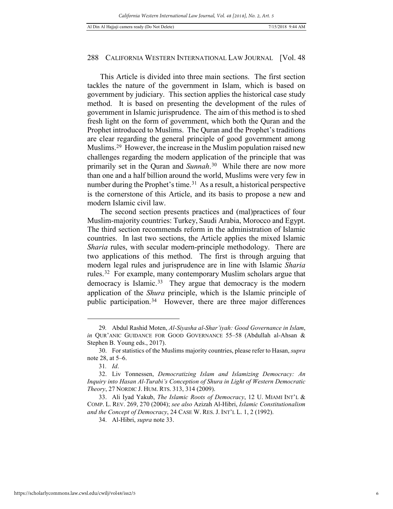This Article is divided into three main sections. The first section tackles the nature of the government in Islam, which is based on government by judiciary. This section applies the historical case study method. It is based on presenting the development of the rules of government in Islamic jurisprudence. The aim of this method is to shed fresh light on the form of government, which both the Quran and the Prophet introduced to Muslims. The Quran and the Prophet's traditions are clear regarding the general principle of good government among Muslims[.29](#page-5-0) However, the increase in the Muslim population raised new challenges regarding the modern application of the principle that was primarily set in the Quran and *Sunnah*. [30](#page-5-1) While there are now more than one and a half billion around the world, Muslims were very few in number during the Prophet's time.<sup>31</sup> As a result, a historical perspective is the cornerstone of this Article, and its basis to propose a new and modern Islamic civil law.

The second section presents practices and (mal)practices of four Muslim-majority countries: Turkey, Saudi Arabia, Morocco and Egypt. The third section recommends reform in the administration of Islamic countries. In last two sections, the Article applies the mixed Islamic *Sharia* rules, with secular modern-principle methodology. There are two applications of this method. The first is through arguing that modern legal rules and jurisprudence are in line with Islamic *Sharia* rules.[32](#page-5-3) For example, many contemporary Muslim scholars argue that democracy is Islamic.<sup>33</sup> They argue that democracy is the modern application of the *Shura* principle, which is the Islamic principle of public participation.[34](#page-5-5) However, there are three major differences

<span id="page-5-0"></span><sup>29</sup>*.* Abdul Rashid Moten, *Al-Siyasha al-Shar'iyah: Good Governance in Islam*, *in* QUR'ANIC GUIDANCE FOR GOOD GOVERNANCE 55–58 (Abdullah al-Ahsan & Stephen B. Young eds., 2017).

<span id="page-5-1"></span><sup>30.</sup> For statistics of the Muslims majority countries, please refer to Hasan, *supra*  note 28, at 5–6.

<sup>31</sup>*. Id*.

<span id="page-5-3"></span><span id="page-5-2"></span><sup>32.</sup> Liv Tonnessen, *Democratizing Islam and Islamizing Democracy: An Inquiry into Hasan Al-Turabi's Conception of Shura in Light of Western Democratic Theory*, 27 NORDIC J. HUM. RTS. 313, 314 (2009).

<span id="page-5-5"></span><span id="page-5-4"></span><sup>33.</sup> Ali Iyad Yakub, *The Islamic Roots of Democracy*, 12 U. MIAMI INT'L & COMP. L. REV. 269, 270 (2004); *see also* Azizah Al-Hibri, *Islamic Constitutionalism and the Concept of Democracy*, 24 CASE W. RES. J. INT'L L. 1, 2 (1992).

<sup>34.</sup> Al-Hibri, *supra* note 33.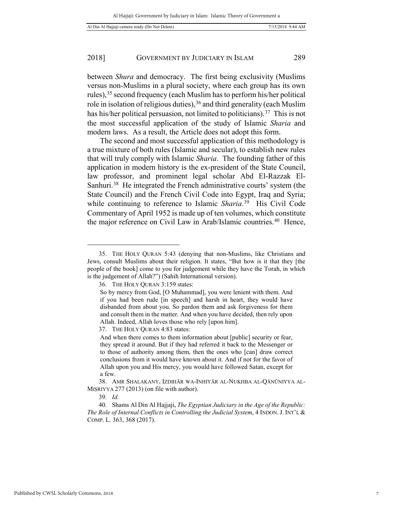between *Shura* and democracy. The first being exclusivity (Muslims versus non-Muslims in a plural society, where each group has its own rules),[35](#page-6-0) second frequency (each Muslim has to perform his/her political role in isolation of religious duties), <sup>[36](#page-6-1)</sup> and third generality (each Muslim has his/her political persuasion, not limited to politicians).<sup>37</sup> This is not the most successful application of the study of Islamic *Sharia* and modern laws. As a result, the Article does not adopt this form.

The second and most successful application of this methodology is a true mixture of both rules (Islamic and secular), to establish new rules that will truly comply with Islamic *Sharia*. The founding father of this application in modern history is the ex-president of the State Council, law professor, and prominent legal scholar Abd El-Razzak El-Sanhuri.<sup>38</sup> He integrated the French administrative courts' system (the State Council) and the French Civil Code into Egypt, Iraq and Syria; while continuing to reference to Islamic *Sharia*.[39](#page-6-4) His Civil Code Commentary of April 1952 is made up of ten volumes, which constitute the major reference on Civil Law in Arab/Islamic countries.[40](#page-6-5) Hence,

<span id="page-6-2"></span>37. THE HOLY QURAN 4:83 states:

39. *Id.* 

<span id="page-6-1"></span><span id="page-6-0"></span><sup>35.</sup> THE HOLY QURAN 5:43 (denying that non-Muslims, like Christians and Jews, consult Muslims about their religion. It states, "But how is it that they [the people of the book] come to you for judgement while they have the Torah, in which is the judgement of Allah?") (Sahih International version).

<sup>36.</sup> THE HOLY QURAN 3:159 states:

So by mercy from God, [O Muhammad], you were lenient with them. And if you had been rude [in speech] and harsh in heart, they would have disbanded from about you. So pardon them and ask forgiveness for them and consult them in the matter. And when you have decided, then rely upon Allah. Indeed, Allah loves those who rely [upon him].

And when there comes to them information about [public] security or fear, they spread it around. But if they had referred it back to the Messenger or to those of authority among them, then the ones who [can] draw correct conclusions from it would have known about it. And if not for the favor of Allah upon you and His mercy, you would have followed Satan, except for a few.

<span id="page-6-3"></span><sup>38.</sup> AMR SHALAKANY, IZDIHĀR WA-INHIYĀR AL-NUKHBA AL-QĀNŪNIYYA AL-MIṢRIYYA 277 (2013) (on file with author).

<span id="page-6-5"></span><span id="page-6-4"></span><sup>40.</sup> Shams Al Din Al Hajjaji, *The Egyptian Judiciary in the Age of the Republic: The Role of Internal Conflicts in Controlling the Judicial System*, 4 INDON. J. INT'L & COMP. L. 363, 368 (2017).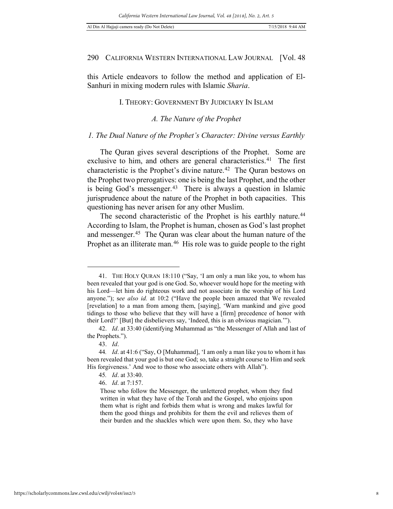this Article endeavors to follow the method and application of El-Sanhuri in mixing modern rules with Islamic *Sharia*.

# I. THEORY: GOVERNMENT BY JUDICIARY IN ISLAM

*A. The Nature of the Prophet* 

#### *1. The Dual Nature of the Prophet's Character: Divine versus Earthly*

The Quran gives several descriptions of the Prophet. Some are exclusive to him, and others are general characteristics.<sup>[41](#page-7-0)</sup> The first characteristic is the Prophet's divine nature.<sup>[42](#page-7-1)</sup> The Quran bestows on the Prophet two prerogatives: one is being the last Prophet, and the other is being God's messenger.[43](#page-7-2) There is always a question in Islamic jurisprudence about the nature of the Prophet in both capacities. This questioning has never arisen for any other Muslim.

The second characteristic of the Prophet is his earthly nature.<sup>44</sup> According to Islam, the Prophet is human, chosen as God's last prophet and messenger.[45](#page-7-4) The Quran was clear about the human nature of the Prophet as an illiterate man.<sup>46</sup> His role was to guide people to the right

<span id="page-7-0"></span><sup>41.</sup> THE HOLY QURAN 18:110 ("Say, 'I am only a man like you, to whom has been revealed that your god is one God. So, whoever would hope for the meeting with his Lord—let him do righteous work and not associate in the worship of his Lord anyone."); s*ee also id.* at 10:2 ("Have the people been amazed that We revealed [revelation] to a man from among them, [saying], 'Warn mankind and give good tidings to those who believe that they will have a [firm] precedence of honor with their Lord?' [But] the disbelievers say, 'Indeed, this is an obvious magician.'").

<span id="page-7-1"></span><sup>42.</sup> *Id*. at 33:40 (identifying Muhammad as "the Messenger of Allah and last of the Prophets.").

<sup>43.</sup> *Id*.

<span id="page-7-5"></span><span id="page-7-4"></span><span id="page-7-3"></span><span id="page-7-2"></span><sup>44</sup>*. Id*. at 41:6 ("Say, O [Muhammad], 'I am only a man like you to whom it has been revealed that your god is but one God; so, take a straight course to Him and seek His forgiveness.' And woe to those who associate others with Allah").

<sup>45</sup>*. Id*. at 33:40.

<sup>46.</sup> *Id*. at 7:157.

Those who follow the Messenger, the unlettered prophet, whom they find written in what they have of the Torah and the Gospel, who enjoins upon them what is right and forbids them what is wrong and makes lawful for them the good things and prohibits for them the evil and relieves them of their burden and the shackles which were upon them. So, they who have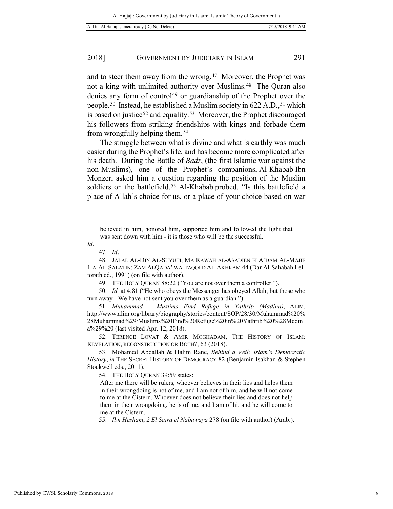and to steer them away from the wrong.[47](#page-8-0) Moreover, the Prophet was not a king with unlimited authority over Muslims.<sup>48</sup> The Ouran also denies any form of control<sup>[49](#page-8-2)</sup> or guardianship of the Prophet over the people.<sup>50</sup> Instead, he established a Muslim society in 622 A.D., <sup>[51](#page-8-4)</sup> which is based on justice<sup>[52](#page-8-5)</sup> and equality.<sup>[53](#page-8-6)</sup> Moreover, the Prophet discouraged his followers from striking friendships with kings and forbade them from wrongfully helping them.[54](#page-8-7)

The struggle between what is divine and what is earthly was much easier during the Prophet's life, and has become more complicated after his death. During the Battle of *Badr*, (the first Islamic war against the non-Muslims), one of the Prophet's companions, Al-Khabab Ibn Monzer, asked him a question regarding the position of the Muslim soldiers on the battlefield.<sup>[55](#page-8-8)</sup> Al-Khabab probed, "Is this battlefield a place of Allah's choice for us, or a place of your choice based on war

-

<span id="page-8-3"></span><span id="page-8-2"></span>50. *Id.* at 4:81 ("He who obeys the Messenger has obeyed Allah; but those who turn away - We have not sent you over them as a guardian.").

<span id="page-8-4"></span>51. *Muhammad – Muslims Find Refuge in Yathrib (Madina)*, ALIM, http://www.alim.org/library/biography/stories/content/SOP/28/30/Muhammad%20% 28Muhammad%29/Muslims%20Find%20Refuge%20in%20Yathrib%20%28Medin a%29%20 (last visited Apr. 12, 2018).

<span id="page-8-5"></span>52. TERENCE LOVAT & AMIR MOGHADAM, THE HISTORY OF ISLAM: REVELATION, RECONSTRUCTION OR BOTH?, 63 (2018).

<span id="page-8-7"></span><span id="page-8-6"></span>53. Mohamed Abdallah & Halim Rane, *Behind a Veil: Islam's Democratic History*, *in* THE SECRET HISTORY OF DEMOCRACY 82 (Benjamin Isakhan & Stephen Stockwell eds., 2011).

54. THE HOLY QURAN 39:59 states:

After me there will be rulers, whoever believes in their lies and helps them in their wrongdoing is not of me, and I am not of him, and he will not come to me at the Cistern. Whoever does not believe their lies and does not help them in their wrongdoing, he is of me, and I am of hi, and he will come to me at the Cistern.

<span id="page-8-8"></span>55. *Ibn Hesham*, *2 El Saira el Nabawaya* 278 (on file with author) (Arab.).

believed in him, honored him, supported him and followed the light that was sent down with him - it is those who will be the successful.

<span id="page-8-0"></span>*Id*.

<sup>47.</sup> *Id*.

<span id="page-8-1"></span><sup>48.</sup> JALAL AL-DIN AL-SUYUTI, MA RAWAH AL-ASADIEN FI A'DAM AL-MAJIE ILA-AL-SALATIN: ZAM ALQADA' WA-TAQOLD AL-AKHKAM 44 (Dar Al-Sahabah Leltorath ed., 1991) (on file with author).

<sup>49.</sup> THE HOLY QURAN 88:22 ("You are not over them a controller.").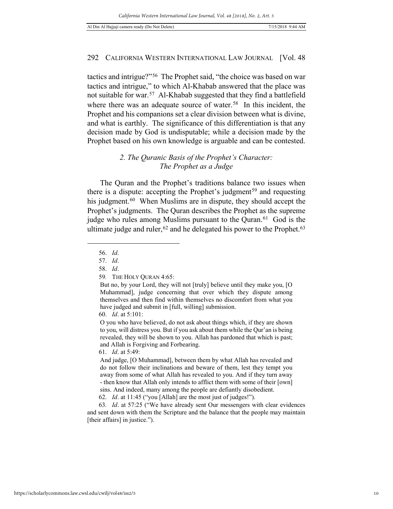tactics and intrigue?"[56](#page-9-0) The Prophet said, "the choice was based on war tactics and intrigue," to which Al-Khabab answered that the place was not suitable for war.[57](#page-9-1) Al-Khabab suggested that they find a battlefield where there was an adequate source of water.<sup>[58](#page-9-2)</sup> In this incident, the Prophet and his companions set a clear division between what is divine, and what is earthly. The significance of this differentiation is that any decision made by God is undisputable; while a decision made by the Prophet based on his own knowledge is arguable and can be contested.

# *2. The Quranic Basis of the Prophet's Character: The Prophet as a Judge*

The Quran and the Prophet's traditions balance two issues when there is a dispute: accepting the Prophet's judgment<sup>[59](#page-9-3)</sup> and requesting his judgment.<sup>[60](#page-9-4)</sup> When Muslims are in dispute, they should accept the Prophet's judgments. The Quran describes the Prophet as the supreme judge who rules among Muslims pursuant to the Quran.<sup>61</sup> God is the ultimate judge and ruler,  $62$  and he delegated his power to the Prophet.  $63$ 

<span id="page-9-3"></span><span id="page-9-2"></span><span id="page-9-1"></span><span id="page-9-0"></span>-

O you who have believed, do not ask about things which, if they are shown to you, will distress you. But if you ask about them while the Qur'an is being revealed, they will be shown to you. Allah has pardoned that which is past; and Allah is Forgiving and Forbearing.

62. *Id*. at 11:45 ("you [Allah] are the most just of judges!").

<span id="page-9-7"></span><span id="page-9-6"></span>63*. Id*. at 57:25 ("We have already sent Our messengers with clear evidences and sent down with them the Scripture and the balance that the people may maintain [their affairs] in justice.").

<sup>56.</sup> *Id*.

<sup>57.</sup> *Id*.

<sup>58.</sup> *Id*.

<sup>59</sup>*.* THE HOLY QURAN 4:65:

But no, by your Lord, they will not [truly] believe until they make you, [O Muhammad], judge concerning that over which they dispute among themselves and then find within themselves no discomfort from what you have judged and submit in [full, willing] submission.

<span id="page-9-4"></span><sup>60.</sup> *Id*. at 5:101:

<span id="page-9-5"></span><sup>61.</sup> *Id*. at 5:49:

And judge, [O Muhammad], between them by what Allah has revealed and do not follow their inclinations and beware of them, lest they tempt you away from some of what Allah has revealed to you. And if they turn away - then know that Allah only intends to afflict them with some of their [own] sins. And indeed, many among the people are defiantly disobedient.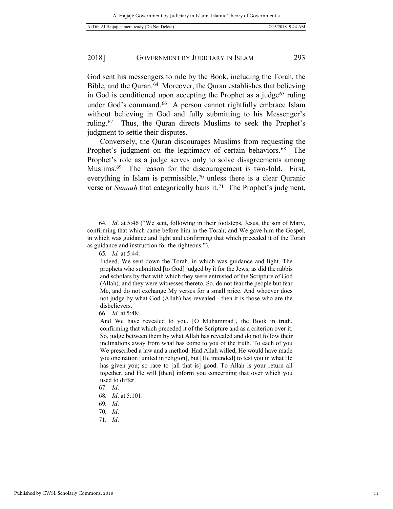God sent his messengers to rule by the Book, including the Torah, the Bible, and the Quran.[64](#page-10-0) Moreover, the Quran establishes that believing in God is conditioned upon accepting the Prophet as a judge<sup>[65](#page-10-1)</sup> ruling under God's command.<sup>[66](#page-10-2)</sup> A person cannot rightfully embrace Islam without believing in God and fully submitting to his Messenger's ruling.[67](#page-10-3) Thus, the Quran directs Muslims to seek the Prophet's judgment to settle their disputes.

Conversely, the Quran discourages Muslims from requesting the Prophet's judgment on the legitimacy of certain behaviors.<sup>68</sup> The Prophet's role as a judge serves only to solve disagreements among Muslims.<sup>69</sup> The reason for the discouragement is two-fold. First, everything in Islam is permissible,<sup>70</sup> unless there is a clear Quranic verse or *Sunnah* that categorically bans it.[71](#page-10-7) The Prophet's judgment,

<span id="page-10-1"></span><span id="page-10-0"></span><sup>64</sup>*. Id*. at 5:46 ("We sent, following in their footsteps, Jesus, the son of Mary, confirming that which came before him in the Torah; and We gave him the Gospel, in which was guidance and light and confirming that which preceded it of the Torah as guidance and instruction for the righteous.").

<sup>65</sup>*. Id.* at 5:44:

Indeed, We sent down the Torah, in which was guidance and light. The prophets who submitted [to God] judged by it for the Jews, as did the rabbis and scholars by that with which they were entrusted of the Scripture of God (Allah), and they were witnesses thereto. So, do not fear the people but fear Me, and do not exchange My verses for a small price. And whoever does not judge by what God (Allah) has revealed - then it is those who are the disbelievers.

<span id="page-10-2"></span><sup>66.</sup> *Id.* at 5:48:

And We have revealed to you, [O Muhammad], the Book in truth, confirming that which preceded it of the Scripture and as a criterion over it. So, judge between them by what Allah has revealed and do not follow their inclinations away from what has come to you of the truth. To each of you We prescribed a law and a method. Had Allah willed, He would have made you one nation [united in religion], but [He intended] to test you in what He has given you; so race to [all that is] good. To Allah is your return all together, and He will [then] inform you concerning that over which you used to differ.

<span id="page-10-3"></span><sup>67.</sup> *Id*.

<span id="page-10-4"></span><sup>68</sup>*. Id*. at 5:101.

<span id="page-10-5"></span><sup>69</sup>*. Id*.

<span id="page-10-7"></span><span id="page-10-6"></span><sup>70</sup>*. Id*.

<sup>71</sup>*. Id*.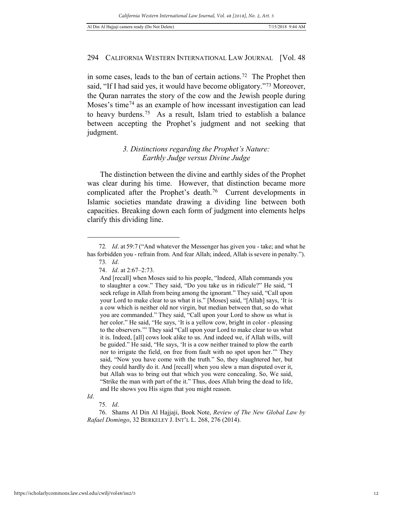in some cases, leads to the ban of certain actions.<sup>[72](#page-11-0)</sup> The Prophet then said, "If I had said yes, it would have become obligatory."[73](#page-11-1) Moreover, the Quran narrates the story of the cow and the Jewish people during Moses's time<sup>[74](#page-11-2)</sup> as an example of how incessant investigation can lead to heavy burdens.[75](#page-11-3) As a result, Islam tried to establish a balance between accepting the Prophet's judgment and not seeking that judgment.

# *3. Distinctions regarding the Prophet's Nature: Earthly Judge versus Divine Judge*

The distinction between the divine and earthly sides of the Prophet was clear during his time. However, that distinction became more complicated after the Prophet's death.<sup>[76](#page-11-4)</sup> Current developments in Islamic societies mandate drawing a dividing line between both capacities. Breaking down each form of judgment into elements helps clarify this dividing line.

<span id="page-11-3"></span>*Id*.

<span id="page-11-2"></span><span id="page-11-1"></span><span id="page-11-0"></span><sup>72</sup>*. Id*. at 59:7 ("And whatever the Messenger has given you - take; and what he has forbidden you - refrain from. And fear Allah; indeed, Allah is severe in penalty."). 73*. Id*.

<sup>74.</sup> *Id*. at 2:67–2:73.

And [recall] when Moses said to his people, "Indeed, Allah commands you to slaughter a cow." They said, "Do you take us in ridicule?" He said, "I seek refuge in Allah from being among the ignorant." They said, "Call upon your Lord to make clear to us what it is." [Moses] said, "[Allah] says, 'It is a cow which is neither old nor virgin, but median between that, so do what you are commanded." They said, "Call upon your Lord to show us what is her color." He said, "He says, 'It is a yellow cow, bright in color - pleasing to the observers.'" They said "Call upon your Lord to make clear to us what it is. Indeed, [all] cows look alike to us. And indeed we, if Allah wills, will be guided." He said, "He says, 'It is a cow neither trained to plow the earth nor to irrigate the field, on free from fault with no spot upon her.'" They said, "Now you have come with the truth." So, they slaughtered her, but they could hardly do it. And [recall] when you slew a man disputed over it, but Allah was to bring out that which you were concealing. So, We said, "Strike the man with part of the it." Thus, does Allah bring the dead to life, and He shows you His signs that you might reason.

<sup>75.</sup> *Id*.

<span id="page-11-4"></span><sup>76.</sup> Shams Al Din Al Hajjaji, Book Note, *Review of The New Global Law by Rafael Domingo*, 32 BERKELEY J. INT'L L. 268, 276 (2014).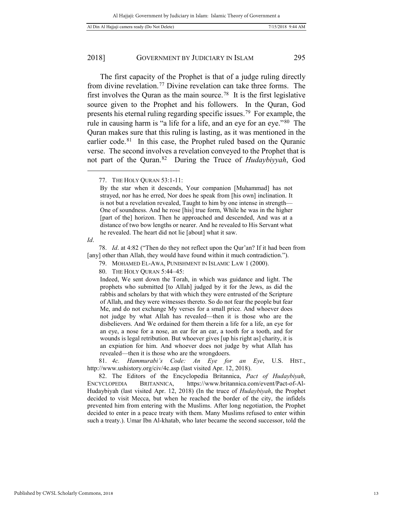The first capacity of the Prophet is that of a judge ruling directly from divine revelation.<sup>[77](#page-12-0)</sup> Divine revelation can take three forms. The first involves the Quran as the main source.[78](#page-12-1) It is the first legislative source given to the Prophet and his followers. In the Quran, God presents his eternal ruling regarding specific issues.[79](#page-12-2) For example, the rule in causing harm is "a life for a life, and an eye for an eye."[80](#page-12-3) The Quran makes sure that this ruling is lasting, as it was mentioned in the earlier code.<sup>81</sup> In this case, the Prophet ruled based on the Quranic verse. The second involves a revelation conveyed to the Prophet that is not part of the Quran.[82](#page-12-5) During the Truce of *Hudaybiyyah*, God

<span id="page-12-1"></span>*Id*.

<span id="page-12-0"></span>-

Indeed, We sent down the Torah, in which was guidance and light. The prophets who submitted [to Allah] judged by it for the Jews, as did the rabbis and scholars by that with which they were entrusted of the Scripture of Allah, and they were witnesses thereto. So do not fear the people but fear Me, and do not exchange My verses for a small price. And whoever does not judge by what Allah has revealed—then it is those who are the disbelievers. And We ordained for them therein a life for a life, an eye for an eye, a nose for a nose, an ear for an ear, a tooth for a tooth, and for wounds is legal retribution. But whoever gives [up his right as] charity, it is an expiation for him. And whoever does not judge by what Allah has revealed—then it is those who are the wrongdoers.

<span id="page-12-4"></span>81. *4c. Hammurabi's Code: An Eye for an Eye*, U.S. HIST., http://www.ushistory.org/civ/4c.asp (last visited Apr. 12, 2018).

<span id="page-12-5"></span>82. The Editors of the Encyclopedia Britannica, *Pact of Hudaybiyah*, ENCYCLOPEDIA BRITANNICA, https://www.britannica.com/event/Pact-of-Al-Hudaybiyah (last visited Apr. 12, 2018) (In the truce of *Hudaybiyah*, the Prophet decided to visit Mecca, but when he reached the border of the city, the infidels prevented him from entering with the Muslims. After long negotiation, the Prophet decided to enter in a peace treaty with them. Many Muslims refused to enter within such a treaty.). Umar Ibn Al-khatab, who later became the second successor, told the

<sup>77.</sup> THE HOLY QURAN 53:1-11:

By the star when it descends, Your companion [Muhammad] has not strayed, nor has he erred, Nor does he speak from [his own] inclination. It is not but a revelation revealed, Taught to him by one intense in strength— One of soundness. And he rose [his] true form, While he was in the higher [part of the] horizon. Then he approached and descended, And was at a distance of two bow lengths or nearer. And he revealed to His Servant what he revealed. The heart did not lie [about] what it saw.

<span id="page-12-3"></span><span id="page-12-2"></span><sup>78.</sup> *Id*. at 4:82 ("Then do they not reflect upon the Qur'an? If it had been from [any] other than Allah, they would have found within it much contradiction.").

<sup>79.</sup> MOHAMED EL-AWA, PUNISHMENT IN ISLAMIC LAW 1 (2000).

<sup>80.</sup> THE HOLY QURAN 5:44–45: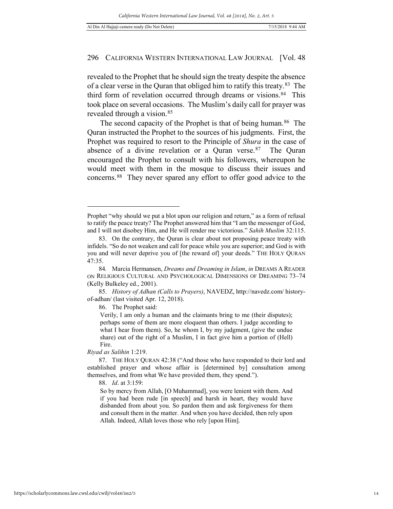revealed to the Prophet that he should sign the treaty despite the absence of a clear verse in the Quran that obliged him to ratify this treaty.[83](#page-13-0) The third form of revelation occurred through dreams or visions.[84](#page-13-1) This took place on several occasions. The Muslim's daily call for prayer was revealed through a vision.[85](#page-13-2)

The second capacity of the Prophet is that of being human.<sup>86</sup> The Quran instructed the Prophet to the sources of his judgments. First, the Prophet was required to resort to the Principle of *Shura* in the case of absence of a divine revelation or a Quran verse.[87](#page-13-4) The Quran encouraged the Prophet to consult with his followers, whereupon he would meet with them in the mosque to discuss their issues and concerns.[88](#page-13-5) They never spared any effort to offer good advice to the

<span id="page-13-3"></span><span id="page-13-2"></span>85. *History of Adhan (Calls to Prayers)*, NAVEDZ, http://navedz.com/ historyof-adhan/ (last visited Apr. 12, 2018).

86. The Prophet said:

Verily, I am only a human and the claimants bring to me (their disputes); perhaps some of them are more eloquent than others. I judge according to what I hear from them). So, he whom I, by my judgment, (give the undue share) out of the right of a Muslim, I in fact give him a portion of (Hell) Fire.

*Riyad as Salihin* 1:219.

-

88. *Id*. at 3:159:

So by mercy from Allah, [O Muhammad], you were lenient with them. And if you had been rude [in speech] and harsh in heart, they would have disbanded from about you. So pardon them and ask forgiveness for them and consult them in the matter. And when you have decided, then rely upon Allah. Indeed, Allah loves those who rely [upon Him].

Prophet "why should we put a blot upon our religion and return," as a form of refusal to ratify the peace treaty? The Prophet answered him that "I am the messenger of God, and I will not disobey Him, and He will render me victorious." *Sahih Muslim* 32:115.

<span id="page-13-0"></span><sup>83.</sup> On the contrary, the Quran is clear about not proposing peace treaty with infidels. "So do not weaken and call for peace while you are superior; and God is with you and will never deprive you of [the reward of] your deeds." THE HOLY QURAN 47:35.

<span id="page-13-1"></span><sup>84</sup>*.* Marcia Hermansen, *Dreams and Dreaming in Islam*, *in* DREAMS A READER ON RELIGIOUS CULTURAL AND PSYCHOLOGICAL DIMENSIONS OF DREAMING 73–74 (Kelly Bulkeley ed., 2001).

<span id="page-13-5"></span><span id="page-13-4"></span><sup>87.</sup> THE HOLY QURAN 42:38 ("And those who have responded to their lord and established prayer and whose affair is [determined by] consultation among themselves, and from what We have provided them, they spend.").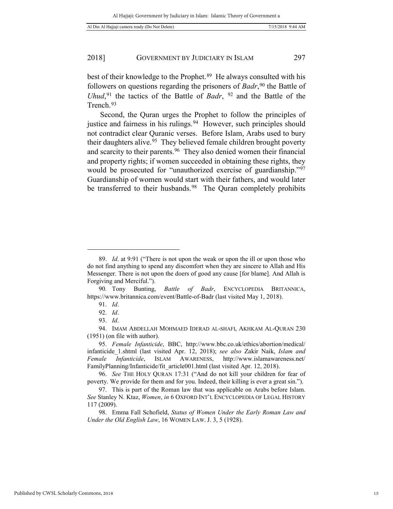best of their knowledge to the Prophet.<sup>[89](#page-14-0)</sup> He always consulted with his followers on questions regarding the prisoners of *Badr*,<sup>[90](#page-14-1)</sup> the Battle of *Uhud*,<sup>[91](#page-14-2)</sup> the tactics of the Battle of *Badr*, <sup>[92](#page-14-3)</sup> and the Battle of the Trench.<sup>[93](#page-14-4)</sup>

Second, the Quran urges the Prophet to follow the principles of justice and fairness in his rulings.<sup>[94](#page-14-5)</sup> However, such principles should not contradict clear Quranic verses. Before Islam, Arabs used to bury their daughters alive.<sup>[95](#page-14-6)</sup> They believed female children brought poverty and scarcity to their parents.<sup>[96](#page-14-7)</sup> They also denied women their financial and property rights; if women succeeded in obtaining these rights, they would be prosecuted for "unauthorized exercise of guardianship."[97](#page-14-8)  Guardianship of women would start with their fathers, and would later be transferred to their husbands.<sup>98</sup> The Quran completely prohibits

<span id="page-14-0"></span><sup>89.</sup> *Id*. at 9:91 ("There is not upon the weak or upon the ill or upon those who do not find anything to spend any discomfort when they are sincere to Allah and His Messenger. There is not upon the doers of good any cause [for blame]. And Allah is Forgiving and Merciful.").

<span id="page-14-2"></span><span id="page-14-1"></span><sup>90</sup>*.* Tony Bunting, *Battle of Badr*, ENCYCLOPEDIA BRITANNICA, https://www.britannica.com/event/Battle-of-Badr (last visited May 1, 2018).

<sup>91.</sup> *Id*.

<sup>92.</sup> *Id*.

<sup>93.</sup> *Id*.

<span id="page-14-5"></span><span id="page-14-4"></span><span id="page-14-3"></span><sup>94.</sup> IMAM ABDELLAH MOHMAED IDERAD AL-SHAFI, AKHKAM AL-QURAN 230 (1951) (on file with author).

<span id="page-14-6"></span><sup>95.</sup> *Female Infanticide*, BBC, http://www.bbc.co.uk/ethics/abortion/medical/ infanticide\_1.shtml (last visited Apr. 12, 2018); *see also* Zakir Naik, *Islam and Female Infanticide*, ISLAM AWARENESS, http://www.islamawareness.net/ FamilyPlanning/Infanticide/fit\_article001.html (last visited Apr. 12, 2018).

<span id="page-14-7"></span><sup>96.</sup> *See* THE HOLY QURAN 17:31 ("And do not kill your children for fear of poverty. We provide for them and for you. Indeed, their killing is ever a great sin.").

<span id="page-14-8"></span><sup>97.</sup> This is part of the Roman law that was applicable on Arabs before Islam. *See* Stanley N. Ktaz, *Women*, *in* 6 OXFORD INT'L ENCYCLOPEDIA OF LEGAL HISTORY 117 (2009).

<span id="page-14-9"></span><sup>98.</sup> Emma Fall Schofield, *Status of Women Under the Early Roman Law and Under the Old English Law*, 16 WOMEN LAW. J. 3, 5 (1928).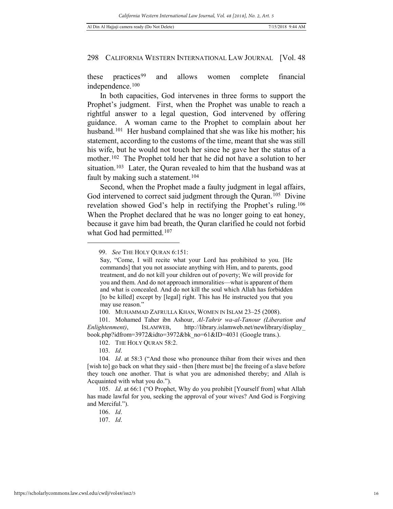these practices<sup>[99](#page-15-0)</sup> and allows women complete financial independence.[100](#page-15-1)

In both capacities, God intervenes in three forms to support the Prophet's judgment. First, when the Prophet was unable to reach a rightful answer to a legal question, God intervened by offering guidance. A woman came to the Prophet to complain about her husband.<sup>101</sup> Her husband complained that she was like his mother; his statement, according to the customs of the time, meant that she was still his wife, but he would not touch her since he gave her the status of a mother.<sup>102</sup> The Prophet told her that he did not have a solution to her situation.<sup>[103](#page-15-4)</sup> Later, the Quran revealed to him that the husband was at fault by making such a statement.<sup>[104](#page-15-5)</sup>

Second, when the Prophet made a faulty judgment in legal affairs, God intervened to correct said judgment through the Quran.<sup>[105](#page-15-6)</sup> Divine revelation showed God's help in rectifying the Prophet's ruling.[106](#page-15-7)  When the Prophet declared that he was no longer going to eat honey, because it gave him bad breath, the Quran clarified he could not forbid what God had permitted.<sup>[107](#page-15-8)</sup>

<span id="page-15-0"></span><sup>99.</sup> *See* THE HOLY QURAN 6:151:

Say, "Come, I will recite what your Lord has prohibited to you. [He commands] that you not associate anything with Him, and to parents, good treatment, and do not kill your children out of poverty; We will provide for you and them. And do not approach immoralities—what is apparent of them and what is concealed. And do not kill the soul which Allah has forbidden [to be killed] except by [legal] right. This has He instructed you that you may use reason."

<sup>100.</sup> MUHAMMAD ZAFRULLA KHAN, WOMEN IN ISLAM 23–25 (2008).

<span id="page-15-2"></span><span id="page-15-1"></span><sup>101.</sup> Mohamed Taher ibn Ashour, *Al-Tahrir wa-al-Tanour (Liberation and Enlightenment)*, ISLAMWEB, http://library.islamweb.net/newlibrary/display\_ book.php?idfrom=3972&idto=3972&bk\_no=61&ID=4031 (Google trans.).

<sup>102.</sup> THE HOLY QURAN 58:2.

<sup>103.</sup> *Id*.

<span id="page-15-5"></span><span id="page-15-4"></span><span id="page-15-3"></span><sup>104.</sup> *Id*. at 58:3 ("And those who pronounce thihar from their wives and then [wish to] go back on what they said - then [there must be] the freeing of a slave before they touch one another. That is what you are admonished thereby; and Allah is Acquainted with what you do.").

<span id="page-15-8"></span><span id="page-15-7"></span><span id="page-15-6"></span><sup>105.</sup> *Id*. at 66:1 ("O Prophet, Why do you prohibit [Yourself from] what Allah has made lawful for you, seeking the approval of your wives? And God is Forgiving and Merciful.").

<sup>106.</sup> *Id*.

<sup>107.</sup> *Id*.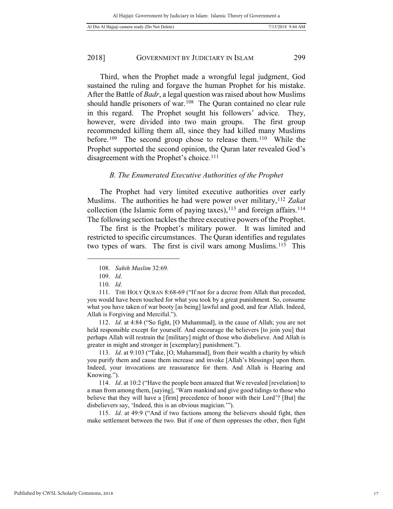Third, when the Prophet made a wrongful legal judgment, God sustained the ruling and forgave the human Prophet for his mistake. After the Battle of *Badr*, a legal question was raised about how Muslims should handle prisoners of war.<sup>108</sup> The Quran contained no clear rule in this regard. The Prophet sought his followers' advice. They, however, were divided into two main groups. The first group recommended killing them all, since they had killed many Muslims before.<sup>[109](#page-16-1)</sup> The second group chose to release them.<sup>110</sup> While the Prophet supported the second opinion, the Quran later revealed God's disagreement with the Prophet's choice.<sup>[111](#page-16-3)</sup>

#### *B. The Enumerated Executive Authorities of the Prophet*

The Prophet had very limited executive authorities over early Muslims. The authorities he had were power over military,[112](#page-16-4) *Zakat* collection (the Islamic form of paying taxes),  $113$  and foreign affairs.  $114$ The following section tackles the three executive powers of the Prophet.

The first is the Prophet's military power. It was limited and restricted to specific circumstances. The Quran identifies and regulates two types of wars. The first is civil wars among Muslims.<sup>115</sup> This

<span id="page-16-0"></span>-

<span id="page-16-4"></span>112. *Id*. at 4:84 ("So fight, [O Muhammad], in the cause of Allah; you are not held responsible except for yourself. And encourage the believers [to join you] that perhaps Allah will restrain the [military] might of those who disbelieve. And Allah is greater in might and stronger in [exemplary] punishment.").

<span id="page-16-5"></span>113. *Id*. at 9:103 ("Take, [O, Muhammad], from their wealth a charity by which you purify them and cause them increase and invoke [Allah's blessings] upon them. Indeed, your invocations are reassurance for them. And Allah is Hearing and Knowing.").

<span id="page-16-6"></span>114. *Id*. at 10:2 ("Have the people been amazed that We revealed [revelation] to a man from among them, [saying], 'Warn mankind and give good tidings to those who believe that they will have a [firm] precedence of honor with their Lord'? [But] the disbelievers say, 'Indeed, this is an obvious magician.'").

<span id="page-16-7"></span>115. *Id*. at 49:9 ("And if two factions among the believers should fight, then make settlement between the two. But if one of them oppresses the other, then fight

<sup>108.</sup> *Sahih Muslim* 32:69.

<sup>109.</sup> *Id*.

<sup>110.</sup> *Id*.

<span id="page-16-3"></span><span id="page-16-2"></span><span id="page-16-1"></span><sup>111.</sup> THE HOLY QURAN 8:68-69 ("If not for a decree from Allah that preceded, you would have been touched for what you took by a great punishment. So, consume what you have taken of war booty [as being] lawful and good, and fear Allah. Indeed, Allah is Forgiving and Merciful.").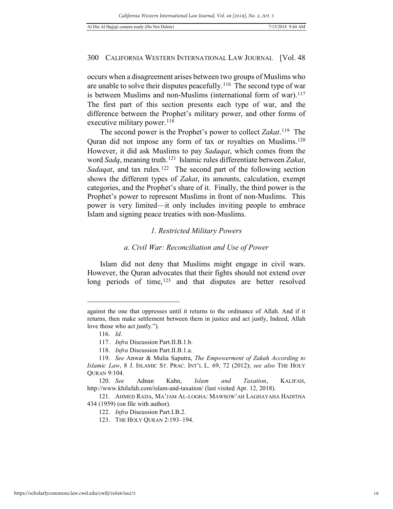occurs when a disagreement arises between two groups of Muslims who are unable to solve their disputes peacefully.[116](#page-17-0) The second type of war is between Muslims and non-Muslims (international form of war).<sup>117</sup> The first part of this section presents each type of war, and the difference between the Prophet's military power, and other forms of executive military power.  $118$ 

The second power is the Prophet's power to collect *Zakat*.[119](#page-17-3) The Quran did not impose any form of tax or royalties on Muslims.[120](#page-17-4)  However, it did ask Muslims to pay *Sadaqat*, which comes from the word *Sadq*, meaning truth.[121](#page-17-5) Islamic rules differentiate between *Zakat*, *Sadaqat*, and tax rules.<sup>[122](#page-17-6)</sup> The second part of the following section shows the different types of *Zakat*, its amounts, calculation, exempt categories, and the Prophet's share of it. Finally, the third power is the Prophet's power to represent Muslims in front of non-Muslims. This power is very limited—it only includes inviting people to embrace Islam and signing peace treaties with non-Muslims.

#### *1. Restricted Military Powers*

#### *a. Civil War: Reconciliation and Use of Power*

Islam did not deny that Muslims might engage in civil wars. However, the Quran advocates that their fights should not extend over long periods of time,<sup>[123](#page-17-7)</sup> and that disputes are better resolved

<span id="page-17-0"></span>against the one that oppresses until it returns to the ordinance of Allah. And if it returns, then make settlement between them in justice and act justly, Indeed, Allah love those who act justly.").

<sup>116.</sup> *Id*.

<sup>117.</sup> *Infra* Discussion Part.II.B.1.b.

<sup>118.</sup> *Infra* Discussion Part.II.B.1.a.

<span id="page-17-3"></span><span id="page-17-2"></span><span id="page-17-1"></span><sup>119.</sup> *See* Anwar & Mulia Saputra, *The Empowerment of Zakah According to Islamic Law*, 8 J. ISLAMIC ST. PRAC. INT'L L. 69, 72 (2012); *see also* THE HOLY QURAN 9:104.

<span id="page-17-4"></span><sup>120.</sup> *See* Adnan Kahn, *Islam and Taxation*, KALIFAH, http://www.khilafah.com/islam-and-taxation/ (last visited Apr. 12, 2018).

<span id="page-17-7"></span><span id="page-17-6"></span><span id="page-17-5"></span><sup>121.</sup> AHMED RADA, MA'JAM AL-LOGHA: MAWSOW'AH LAGHAYAHA HADITHA 434 (1959) (on file with author).

<sup>122.</sup> *Infra* Discussion Part.I.B.2.

<sup>123.</sup> THE HOLY QURAN 2:193–194.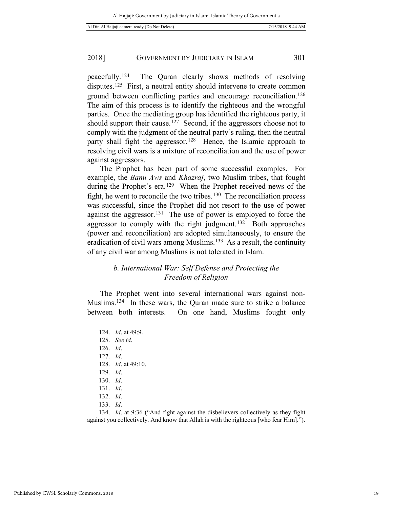peacefully.[124](#page-18-0) The Quran clearly shows methods of resolving disputes.<sup>[125](#page-18-1)</sup> First, a neutral entity should intervene to create common ground between conflicting parties and encourage reconciliation.[126](#page-18-2)  The aim of this process is to identify the righteous and the wrongful parties. Once the mediating group has identified the righteous party, it should support their cause.<sup>[127](#page-18-3)</sup> Second, if the aggressors choose not to comply with the judgment of the neutral party's ruling, then the neutral party shall fight the aggressor.<sup>[128](#page-18-4)</sup> Hence, the Islamic approach to resolving civil wars is a mixture of reconciliation and the use of power against aggressors.

The Prophet has been part of some successful examples. For example, the *Banu Aws* and *Khazraj*, two Muslim tribes, that fought during the Prophet's era.[129](#page-18-5) When the Prophet received news of the fight, he went to reconcile the two tribes.<sup>[130](#page-18-6)</sup> The reconciliation process was successful, since the Prophet did not resort to the use of power against the aggressor.[131](#page-18-7) The use of power is employed to force the aggressor to comply with the right judgment.[132](#page-18-8) Both approaches (power and reconciliation) are adopted simultaneously, to ensure the eradication of civil wars among Muslims.<sup>133</sup> As a result, the continuity of any civil war among Muslims is not tolerated in Islam.

# *b. International War: Self Defense and Protecting the Freedom of Religion*

The Prophet went into several international wars against non-Muslims[.134](#page-18-10) In these wars, the Quran made sure to strike a balance between both interests. On one hand, Muslims fought only

<span id="page-18-4"></span><span id="page-18-3"></span><span id="page-18-2"></span><span id="page-18-1"></span><span id="page-18-0"></span> $\overline{a}$ 

128. *Id*. at 49:10.

<span id="page-18-10"></span><span id="page-18-9"></span><span id="page-18-8"></span><span id="page-18-7"></span><span id="page-18-6"></span><span id="page-18-5"></span>134. *Id*. at 9:36 ("And fight against the disbelievers collectively as they fight against you collectively. And know that Allah is with the righteous [who fear Him].").

<sup>124.</sup> *Id*. at 49:9.

<sup>125.</sup> *See id*.

<sup>126.</sup> *Id*.

<sup>127.</sup> *Id*.

<sup>129.</sup> *Id*.

<sup>130.</sup> *Id*.

<sup>131.</sup> *Id*.

<sup>132.</sup> *Id*.

<sup>133.</sup> *Id*.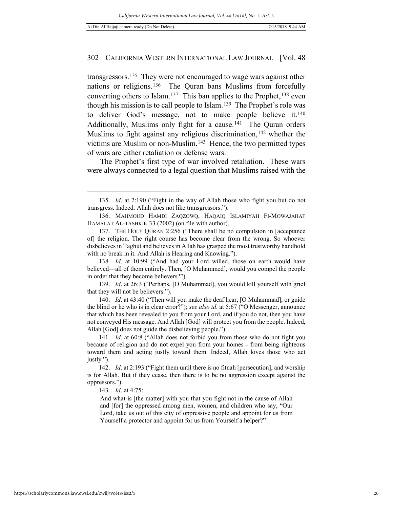transgressors.[135](#page-19-0) They were not encouraged to wage wars against other nations or religions.<sup>[136](#page-19-1)</sup> The Ouran bans Muslims from forcefully converting others to Islam.<sup>[137](#page-19-2)</sup> This ban applies to the Prophet,<sup>[138](#page-19-3)</sup> even though his mission is to call people to Islam.[139](#page-19-4) The Prophet's role was to deliver God's message, not to make people believe it.[140](#page-19-5)  Additionally, Muslims only fight for a cause.<sup>[141](#page-19-6)</sup> The Ouran orders Muslims to fight against any religious discrimination,<sup>[142](#page-19-7)</sup> whether the victims are Muslim or non-Muslim.[143](#page-19-8) Hence, the two permitted types of wars are either retaliation or defense wars.

The Prophet's first type of war involved retaliation. These wars were always connected to a legal question that Muslims raised with the

143. *Id*. at 4:75:

And what is [the matter] with you that you fight not in the cause of Allah and [for] the oppressed among men, women, and children who say, "Our Lord, take us out of this city of oppressive people and appoint for us from Yourself a protector and appoint for us from Yourself a helper?"

<span id="page-19-0"></span><sup>135.</sup> *Id*. at 2:190 ("Fight in the way of Allah those who fight you but do not transgress. Indeed. Allah does not like transgressors.").

<span id="page-19-1"></span><sup>136.</sup> MAHMOUD HAMDI ZAQZOWQ, HAQAIQ ISLAMIYAH FI-MOWAJAHAT HAMALAT AL-TASHKIK 33 (2002) (on file with author).

<span id="page-19-2"></span><sup>137.</sup> THE HOLY QURAN 2:256 ("There shall be no compulsion in [acceptance of] the religion. The right course has become clear from the wrong. So whoever disbelieves in Taghut and believes in Allah has grasped the most trustworthy handhold with no break in it. And Allah is Hearing and Knowing.").

<span id="page-19-3"></span><sup>138.</sup> *Id*. at 10:99 ("And had your Lord willed, those on earth would have believed—all of them entirely. Then, [O Muhammed], would you compel the people in order that they become believers?").

<span id="page-19-4"></span><sup>139.</sup> *Id*. at 26:3 ("Perhaps, [O Muhammad], you would kill yourself with grief that they will not be believers.").

<span id="page-19-5"></span><sup>140.</sup> *Id*. at 43:40 ("Then will you make the deaf hear, [O Muhammad], or guide the blind or he who is in clear error?"); *see also id*. at 5:67 ("O Messenger, announce that which has been revealed to you from your Lord, and if you do not, then you have not conveyed His message. And Allah [God] will protect you from the people. Indeed, Allah [God] does not guide the disbelieving people.").

<span id="page-19-6"></span><sup>141.</sup> *Id*. at 60:8 ("Allah does not forbid you from those who do not fight you because of religion and do not expel you from your homes - from being righteous toward them and acting justly toward them. Indeed, Allah loves those who act justly.").

<span id="page-19-8"></span><span id="page-19-7"></span><sup>142.</sup> *Id*. at 2:193 ("Fight them until there is no fitnah [persecution], and worship is for Allah. But if they cease, then there is to be no aggression except against the oppressors.").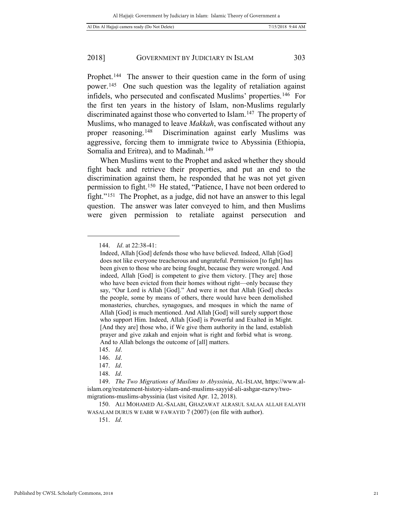Prophet.<sup>[144](#page-20-0)</sup> The answer to their question came in the form of using power.[145](#page-20-1) One such question was the legality of retaliation against infidels, who persecuted and confiscated Muslims' properties.[146](#page-20-2) For the first ten years in the history of Islam, non-Muslims regularly discriminated against those who converted to Islam.[147](#page-20-3) The property of Muslims, who managed to leave *Makkah*, was confiscated without any proper reasoning.[148](#page-20-4) Discrimination against early Muslims was aggressive, forcing them to immigrate twice to Abyssinia (Ethiopia, Somalia and Eritrea), and to Madinah.<sup>[149](#page-20-5)</sup>

When Muslims went to the Prophet and asked whether they should fight back and retrieve their properties, and put an end to the discrimination against them, he responded that he was not yet given permission to fight.[150](#page-20-6) He stated, "Patience, I have not been ordered to fight."[151](#page-20-7) The Prophet, as a judge, did not have an answer to this legal question. The answer was later conveyed to him, and then Muslims were given permission to retaliate against persecution and

<span id="page-20-0"></span> $\overline{a}$ 

151. *Id*.

<sup>144.</sup> *Id*. at 22:38-41:

Indeed, Allah [God] defends those who have believed. Indeed, Allah [God] does not like everyone treacherous and ungrateful. Permission [to fight] has been given to those who are being fought, because they were wronged. And indeed, Allah [God] is competent to give them victory. [They are] those who have been evicted from their homes without right—only because they say, "Our Lord is Allah [God]." And were it not that Allah [God] checks the people, some by means of others, there would have been demolished monasteries, churches, synagogues, and mosques in which the name of Allah [God] is much mentioned. And Allah [God] will surely support those who support Him. Indeed, Allah [God] is Powerful and Exalted in Might. [And they are] those who, if We give them authority in the land, establish prayer and give zakah and enjoin what is right and forbid what is wrong. And to Allah belongs the outcome of [all] matters.

<sup>145.</sup> *Id*.

<sup>146.</sup> *Id*.

<sup>147.</sup> *Id*.

<sup>148.</sup> *Id*.

<span id="page-20-5"></span><span id="page-20-4"></span><span id="page-20-3"></span><span id="page-20-2"></span><span id="page-20-1"></span><sup>149.</sup> *The Two Migrations of Muslims to Abyssinia*, AL-ISLAM, https://www.alislam.org/restatement-history-islam-and-muslims-sayyid-ali-ashgar-razwy/twomigrations-muslims-abyssinia (last visited Apr. 12, 2018).

<span id="page-20-7"></span><span id="page-20-6"></span><sup>150.</sup> ALI MOHAMED AL-SALABI, GHAZAWAT ALRASUL SALAA ALLAH EALAYH WASALAM DURUS W EABR W FAWAYID 7 (2007) (on file with author).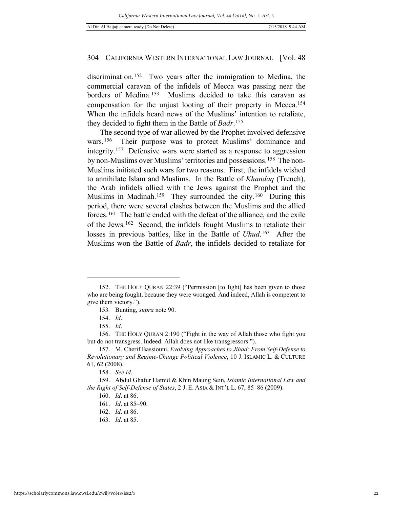discrimination.[152](#page-21-0) Two years after the immigration to Medina, the commercial caravan of the infidels of Mecca was passing near the borders of Medina.<sup>[153](#page-21-1)</sup> Muslims decided to take this caravan as compensation for the unjust looting of their property in Mecca.[154](#page-21-2)  When the infidels heard news of the Muslims' intention to retaliate, they decided to fight them in the Battle of *Badr*.[155](#page-21-3)

The second type of war allowed by the Prophet involved defensive wars.[156](#page-21-4) Their purpose was to protect Muslims' dominance and integrity.[157](#page-21-5) Defensive wars were started as a response to aggression by non-Muslims over Muslims' territories and possessions.<sup>158</sup> The non-Muslims initiated such wars for two reasons. First, the infidels wished to annihilate Islam and Muslims. In the Battle of *Khandaq* (Trench), the Arab infidels allied with the Jews against the Prophet and the Muslims in Madinah.<sup>[159](#page-21-7)</sup> They surrounded the city.<sup>[160](#page-21-8)</sup> During this period, there were several clashes between the Muslims and the allied forces.[161](#page-21-9) The battle ended with the defeat of the alliance, and the exile of the Jews.[162](#page-21-10) Second, the infidels fought Muslims to retaliate their losses in previous battles, like in the Battle of *Uhud*.[163](#page-21-11) After the Muslims won the Battle of *Badr*, the infidels decided to retaliate for

-

162. *Id*. at 86.

<span id="page-21-1"></span><span id="page-21-0"></span><sup>152.</sup> THE HOLY QURAN 22:39 ("Permission [to fight] has been given to those who are being fought, because they were wronged. And indeed, Allah is competent to give them victory.").

<sup>153</sup>*.* Bunting, *supra* note 90.

<sup>154.</sup> *Id*.

<sup>155.</sup> *Id*.

<span id="page-21-4"></span><span id="page-21-3"></span><span id="page-21-2"></span><sup>156.</sup> THE HOLY QURAN 2:190 ("Fight in the way of Allah those who fight you but do not transgress. Indeed. Allah does not like transgressors.").

<span id="page-21-5"></span><sup>157.</sup> M. Cherif Bassiouni, *Evolving Approaches to Jihad: From Self-Defense to Revolutionary and Regime-Change Political Violence*, 10 J. ISLAMIC L. & CULTURE 61, 62 (2008).

<sup>158.</sup> *See id*.

<span id="page-21-11"></span><span id="page-21-10"></span><span id="page-21-9"></span><span id="page-21-8"></span><span id="page-21-7"></span><span id="page-21-6"></span><sup>159.</sup> Abdul Ghafur Hamid & Khin Maung Sein, *Islamic International Law and the Right of Self-Defense of States*, 2 J. E. ASIA & INT'L L. 67, 85–86 (2009).

<sup>160.</sup> *Id*. at 86.

<sup>161.</sup> *Id*. at 85–90.

<sup>163.</sup> *Id*. at 85.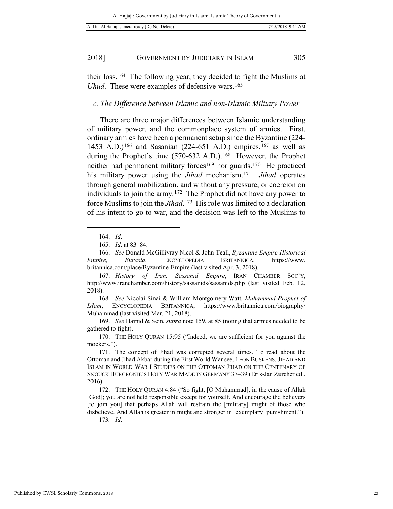their loss.[164](#page-22-0) The following year, they decided to fight the Muslims at *Uhud*. These were examples of defensive wars.<sup>[165](#page-22-1)</sup>

#### *c. The Difference between Islamic and non-Islamic Military Power*

There are three major differences between Islamic understanding of military power, and the commonplace system of armies. First, ordinary armies have been a permanent setup since the Byzantine (224- 1453 A.D.)<sup>[166](#page-22-2)</sup> and Sasanian (224-651 A.D.) empires,<sup>[167](#page-22-3)</sup> as well as during the Prophet's time (570-632 A.D.).<sup>[168](#page-22-4)</sup> However, the Prophet neither had permanent military forces<sup>[169](#page-22-5)</sup> nor guards.<sup>170</sup> He practiced his military power using the *Jihad* mechanism.[171](#page-22-7) *Jihad* operates through general mobilization, and without any pressure, or coercion on individuals to join the army.[172](#page-22-8) The Prophet did not have any power to force Muslims to join the *Jihad*. [173](#page-22-9) His role was limited to a declaration of his intent to go to war, and the decision was left to the Muslims to

<span id="page-22-0"></span> $\overline{a}$ 

173*. Id*.

<sup>164.</sup> *Id*.

<sup>165.</sup> *Id*. at 83–84.

<span id="page-22-2"></span><span id="page-22-1"></span><sup>166.</sup> *See* Donald McGillivray Nicol & John Teall, *Byzantine Empire Historical Empire, Eurasia*, ENCYCLOPEDIA BRITANNICA, https://www. britannica.com/place/Byzantine-Empire (last visited Apr. 3, 2018)*.* 

<span id="page-22-3"></span><sup>167.</sup> *History of Iran, Sassanid Empire*, IRAN CHAMBER SOC'Y, http://www.iranchamber.com/history/sassanids/sassanids.php (last visited Feb. 12, 2018).

<span id="page-22-4"></span><sup>168.</sup> *See* Nicolai Sinai & William Montgomery Watt, *Muhammad Prophet of Islam*, ENCYCLOPEDIA BRITANNICA, https://www.britannica.com/biography/ Muhammad (last visited Mar. 21, 2018).

<span id="page-22-5"></span><sup>169.</sup> *See* Hamid & Sein, *supra* note 159, at 85 (noting that armies needed to be gathered to fight).

<span id="page-22-6"></span><sup>170.</sup> THE HOLY QURAN 15:95 ("Indeed, we are sufficient for you against the mockers.").

<span id="page-22-7"></span><sup>171.</sup> The concept of Jihad was corrupted several times. To read about the Ottoman and Jihad Akbar during the First World War see, LEON BUSKENS, JIHAD AND ISLAM IN WORLD WAR I STUDIES ON THE OTTOMAN JIHAD ON THE CENTENARY OF SNOUCK HURGRONJE'S HOLY WAR MADE IN GERMANY 37–39 (Erik-Jan Zurcher ed., 2016).

<span id="page-22-9"></span><span id="page-22-8"></span><sup>172.</sup> THE HOLY QURAN 4:84 ("So fight, [O Muhammad], in the cause of Allah [God]; you are not held responsible except for yourself. And encourage the believers [to join you] that perhaps Allah will restrain the [military] might of those who disbelieve. And Allah is greater in might and stronger in [exemplary] punishment.").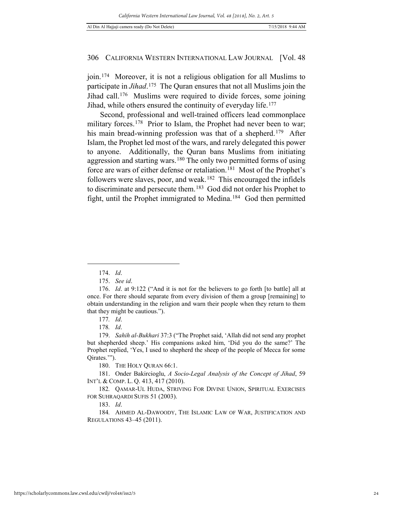join.[174](#page-23-0) Moreover, it is not a religious obligation for all Muslims to participate in *Jihad*.[175](#page-23-1) The Quran ensures that not all Muslims join the Jihad call.[176](#page-23-2) Muslims were required to divide forces, some joining Jihad, while others ensured the continuity of everyday life.<sup>[177](#page-23-3)</sup>

Second, professional and well-trained officers lead commonplace military forces.<sup>178</sup> Prior to Islam, the Prophet had never been to war; his main bread-winning profession was that of a shepherd.<sup>179</sup> After Islam, the Prophet led most of the wars, and rarely delegated this power to anyone. Additionally, the Quran bans Muslims from initiating aggression and starting wars.<sup>[180](#page-23-6)</sup> The only two permitted forms of using force are wars of either defense or retaliation.<sup>[181](#page-23-7)</sup> Most of the Prophet's followers were slaves, poor, and weak.<sup>182</sup> This encouraged the infidels to discriminate and persecute them.[183](#page-23-9) God did not order his Prophet to fight, until the Prophet immigrated to Medina.[184](#page-23-10) God then permitted

<span id="page-23-0"></span>1

178*. Id*.

180. THE HOLY QURAN 66:1.

<span id="page-23-7"></span><span id="page-23-6"></span>181. Onder Bakircioglu, *A Socio-Legal Analysis of the Concept of Jihad*, 59 INT'L & COMP. L. Q. 413, 417 (2010).

<span id="page-23-8"></span>182*.* QAMAR-UL HUDA, STRIVING FOR DIVINE UNION, SPIRITUAL EXERCISES FOR SUHRAQARDI SUFIS 51 (2003).

183. *Id*.

<span id="page-23-10"></span><span id="page-23-9"></span>184*.* AHMED AL-DAWOODY, THE ISLAMIC LAW OF WAR, JUSTIFICATION AND REGULATIONS 43–45 (2011).

<sup>174.</sup> *Id*.

<sup>175.</sup> *See id*.

<span id="page-23-2"></span><span id="page-23-1"></span><sup>176.</sup> *Id*. at 9:122 ("And it is not for the believers to go forth [to battle] all at once. For there should separate from every division of them a group [remaining] to obtain understanding in the religion and warn their people when they return to them that they might be cautious.").

<sup>177</sup>*. Id*.

<span id="page-23-5"></span><span id="page-23-4"></span><span id="page-23-3"></span><sup>179.</sup> *Sahih al-Bukhari* 37:3 ("The Prophet said, 'Allah did not send any prophet but shepherded sheep.' His companions asked him, 'Did you do the same?' The Prophet replied, 'Yes, I used to shepherd the sheep of the people of Mecca for some Qirates.'").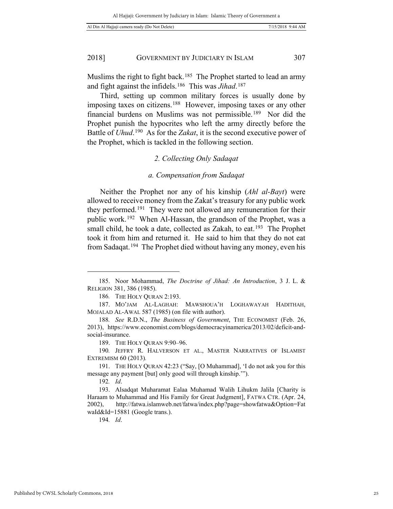Muslims the right to fight back.<sup>[185](#page-24-0)</sup> The Prophet started to lead an army and fight against the infidels.[186](#page-24-1) This was *Jihad*.[187](#page-24-2)

Third, setting up common military forces is usually done by imposing taxes on citizens.[188](#page-24-3) However, imposing taxes or any other financial burdens on Muslims was not permissible.[189](#page-24-4) Nor did the Prophet punish the hypocrites who left the army directly before the Battle of *Uhud*.[190](#page-24-5) As for the *Zakat*, it is the second executive power of the Prophet, which is tackled in the following section.

# *2. Collecting Only Sadaqat*

#### *a. Compensation from Sadaqat*

Neither the Prophet nor any of his kinship (*Ahl al-Bayt*) were allowed to receive money from the Zakat's treasury for any public work they performed.[191](#page-24-6) They were not allowed any remuneration for their public work.[192](#page-24-7) When Al-Hassan, the grandson of the Prophet, was a small child, he took a date, collected as Zakah, to eat.<sup>193</sup> The Prophet took it from him and returned it. He said to him that they do not eat from Sadaqat.[194](#page-24-9) The Prophet died without having any money, even his

 $\overline{a}$ 

194*. Id*.

<span id="page-24-0"></span><sup>185.</sup> Noor Mohammad, *The Doctrine of Jihad: An Introduction*, 3 J. L. & RELIGION 381, 386 (1985).

<sup>186</sup>*.* THE HOLY QURAN 2:193.

<span id="page-24-2"></span><span id="page-24-1"></span><sup>187.</sup> MO'JAM AL-LAGHAH: MAWSHOUA'H LOGHAWAYAH HADITHAH, MOJALAD AL-AWAL 587 (1985) (on file with author).

<span id="page-24-3"></span><sup>188</sup>*. See* R.D.N., *The Business of Government*, THE ECONOMIST (Feb. 26, 2013), https://www.economist.com/blogs/democracyinamerica/2013/02/deficit-andsocial-insurance.

<sup>189.</sup> THE HOLY QURAN 9:90–96.

<span id="page-24-5"></span><span id="page-24-4"></span><sup>190</sup>*.* JEFFRY R. HALVERSON ET AL., MASTER NARRATIVES OF ISLAMIST EXTREMISM 60 (2013)*.* 

<span id="page-24-6"></span><sup>191.</sup> THE HOLY QURAN 42:23 ("Say, [O Muhammad], 'I do not ask you for this message any payment [but] only good will through kinship.'").

<sup>192</sup>*. Id*.

<span id="page-24-9"></span><span id="page-24-8"></span><span id="page-24-7"></span><sup>193.</sup> Alsadqat Muharamat Ealaa Muhamad Walih Lihukm Jalila [Charity is Haraam to Muhammad and His Family for Great Judgment], FATWA CTR. (Apr. 24, 2002), http://fatwa.islamweb.net/fatwa/index.php?page=showfatwa&Option=Fat waId&Id=15881 (Google trans.).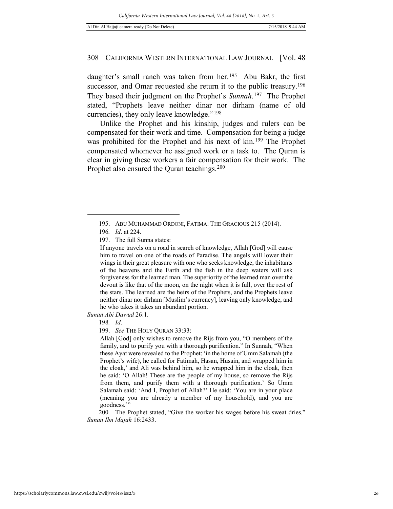daughter's small ranch was taken from her.<sup>[195](#page-25-0)</sup> Abu Bakr, the first successor, and Omar requested she return it to the public treasury.<sup>196</sup> They based their judgment on the Prophet's *Sunnah*.[197](#page-25-2) The Prophet stated, "Prophets leave neither dinar nor dirham (name of old currencies), they only leave knowledge."[198](#page-25-3)

Unlike the Prophet and his kinship, judges and rulers can be compensated for their work and time. Compensation for being a judge was prohibited for the Prophet and his next of kin.<sup>[199](#page-25-4)</sup> The Prophet compensated whomever he assigned work or a task to. The Quran is clear in giving these workers a fair compensation for their work. The Prophet also ensured the Quran teachings.<sup>[200](#page-25-5)</sup>

<span id="page-25-2"></span><span id="page-25-1"></span><span id="page-25-0"></span>-

<span id="page-25-4"></span><span id="page-25-3"></span>*Sunan Abi Dawud* 26:1.

199. *See* THE HOLY QURAN 33:33:

Allah [God] only wishes to remove the Rijs from you, "O members of the family, and to purify you with a thorough purification." In Sunnah, "When these Ayat were revealed to the Prophet: 'in the home of Umm Salamah (the Prophet's wife), he called for Fatimah, Hasan, Husain, and wrapped him in the cloak,' and Ali was behind him, so he wrapped him in the cloak, then he said: 'O Allah! These are the people of my house, so remove the Rijs from them, and purify them with a thorough purification.' So Umm Salamah said: 'And I, Prophet of Allah?' He said: 'You are in your place (meaning you are already a member of my household), and you are goodness.'"

<span id="page-25-5"></span>200*.* The Prophet stated, "Give the worker his wages before his sweat dries." *Sunan Ibn Majah* 16:2433.

<sup>195.</sup> ABU MUHAMMAD ORDONI, FATIMA: THE GRACIOUS 215 (2014).

<sup>196</sup>*. Id*. at 224.

<sup>197.</sup> The full Sunna states:

If anyone travels on a road in search of knowledge, Allah [God] will cause him to travel on one of the roads of Paradise. The angels will lower their wings in their great pleasure with one who seeks knowledge, the inhabitants of the heavens and the Earth and the fish in the deep waters will ask forgiveness for the learned man. The superiority of the learned man over the devout is like that of the moon, on the night when it is full, over the rest of the stars. The learned are the heirs of the Prophets, and the Prophets leave neither dinar nor dirham [Muslim's currency], leaving only knowledge, and he who takes it takes an abundant portion.

<sup>198</sup>*. Id*.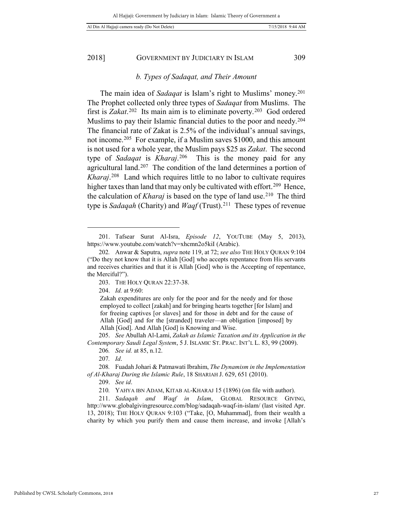$\overline{a}$ 

#### 2018] GOVERNMENT BY JUDICIARY IN ISLAM 309

#### *b. Types of Sadaqat, and Their Amount*

The main idea of *Sadaqat* is Islam's right to Muslims' money.[201](#page-26-0)  The Prophet collected only three types of *Sadaqat* from Muslims. The first is *Zakat*.[202](#page-26-1) Its main aim is to eliminate poverty.[203](#page-26-2) God ordered Muslims to pay their Islamic financial duties to the poor and needy.<sup>[204](#page-26-3)</sup> The financial rate of Zakat is 2.5% of the individual's annual savings, not income.[205](#page-26-4) For example, if a Muslim saves \$1000, and this amount is not used for a whole year, the Muslim pays \$25 as *Zakat*. The second type of *Sadaqat* is *Kharaj*.[206](#page-26-5) This is the money paid for any agricultural land.[207](#page-26-6) The condition of the land determines a portion of *Kharaj*.[208](#page-26-7) Land which requires little to no labor to cultivate requires higher taxes than land that may only be cultivated with effort.<sup>209</sup> Hence, the calculation of *Kharaj* is based on the type of land use.<sup>210</sup> The third type is *Sadaqah* (Charity) and *Waqf* (Trust).[211](#page-26-10) These types of revenue

204. *Id.* at 9:60:

<span id="page-26-0"></span><sup>201.</sup> Tafsear Surat Al-Isra, *Episode 12*, YOUTUBE (May 5, 2013), https://www.youtube.com/watch?v=xhcmn2o5kiI (Arabic).

<span id="page-26-3"></span><span id="page-26-2"></span><span id="page-26-1"></span><sup>202</sup>*.* Anwar & Saputra, *supra* note 119, at 72; *see also* THE HOLY QURAN 9:104 ("Do they not know that it is Allah [God] who accepts repentance from His servants and receives charities and that it is Allah [God] who is the Accepting of repentance, the Merciful?").

<sup>203.</sup> THE HOLY QURAN 22:37-38.

Zakah expenditures are only for the poor and for the needy and for those employed to collect [zakah] and for bringing hearts together [for Islam] and for freeing captives [or slaves] and for those in debt and for the cause of Allah [God] and for the [stranded] traveler—an obligation [imposed] by Allah [God]. And Allah [God] is Knowing and Wise.

<span id="page-26-5"></span><span id="page-26-4"></span><sup>205.</sup> *See* Abullah Al-Lami, *Zakah as Islamic Taxation and its Application in the Contemporary Saudi Legal System*, 5 J. ISLAMIC ST. PRAC. INT'L L. 83, 99 (2009).

<sup>206</sup>*. See id.* at 85, n.12.

<sup>207</sup>*. Id*.

<span id="page-26-8"></span><span id="page-26-7"></span><span id="page-26-6"></span><sup>208</sup>*.* Fuadah Johari & Patmawati Ibrahim, *The Dynamism in the Implementation of Al-Kharaj During the Islamic Rule*, 18 SHARIAH J. 629, 651 (2010).

<sup>209.</sup> *See id*.

<sup>210</sup>*.* YAHYA IBN ADAM, KITAB AL-KHARAJ 15 (1896) (on file with author).

<span id="page-26-10"></span><span id="page-26-9"></span><sup>211.</sup> *Sadaqah and Waqf in Islam*, GLOBAL RESOURCE GIVING, http://www.globalgivingresource.com/blog/sadaqah-waqf-in-islam/ (last visited Apr. 13, 2018); THE HOLY QURAN 9:103 ("Take, [O, Muhammad], from their wealth a charity by which you purify them and cause them increase, and invoke [Allah's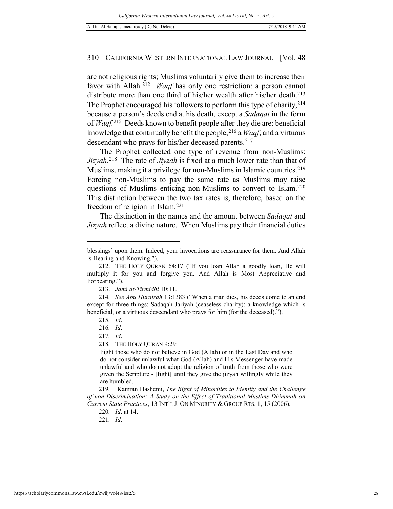are not religious rights; Muslims voluntarily give them to increase their favor with Allah.<sup>[212](#page-27-0)</sup> *Waqf* has only one restriction: a person cannot distribute more than one third of his/her wealth after his/her death.<sup>[213](#page-27-1)</sup> The Prophet encouraged his followers to perform this type of charity, <sup>[214](#page-27-2)</sup> because a person's deeds end at his death, except a *Sadaqat* in the form of *Waqf.*[215](#page-27-3) Deeds known to benefit people after they die are: beneficial knowledge that continually benefit the people,[216](#page-27-4) a *Waqf*, and a virtuous descendant who prays for his/her deceased parents.<sup>[217](#page-27-5)</sup>

The Prophet collected one type of revenue from non-Muslims: *Jizyah.*[218](#page-27-6)The rate of *Jiyzah* is fixed at a much lower rate than that of Muslims, making it a privilege for non-Muslims in Islamic countries.<sup>219</sup> Forcing non-Muslims to pay the same rate as Muslims may raise questions of Muslims enticing non-Muslims to convert to Islam.[220](#page-27-8)  This distinction between the two tax rates is, therefore, based on the freedom of religion in Islam.[221](#page-27-9)

The distinction in the names and the amount between *Sadaqat* and *Jizyah* reflect a divine nature. When Muslims pay their financial duties

-

Fight those who do not believe in God (Allah) or in the Last Day and who do not consider unlawful what God (Allah) and His Messenger have made unlawful and who do not adopt the religion of truth from those who were given the Scripture - [fight] until they give the jizyah willingly while they are humbled.

<span id="page-27-9"></span><span id="page-27-8"></span><span id="page-27-7"></span><span id="page-27-6"></span>219*.* Kamran Hashemi, *The Right of Minorities to Identity and the Challenge of non-Discrimination: A Study on the Effect of Traditional Muslims Dhimmah on Current State Practices*, 13 INT'L J. ON MINORITY & GROUP RTS. 1, 15 (2006).

220*. Id*. at 14.

blessings] upon them. Indeed, your invocations are reassurance for them. And Allah is Hearing and Knowing.").

<span id="page-27-0"></span><sup>212.</sup> THE HOLY QURAN 64:17 ("If you loan Allah a goodly loan, He will multiply it for you and forgive you. And Allah is Most Appreciative and Forbearing.").

<sup>213.</sup> *Jamî at-Tirmidhi* 10:11.

<span id="page-27-5"></span><span id="page-27-4"></span><span id="page-27-3"></span><span id="page-27-2"></span><span id="page-27-1"></span><sup>214</sup>*. See Abu Hurairah* 13:1383 ("When a man dies, his deeds come to an end except for three things: Sadaqah Jariyah (ceaseless charity); a knowledge which is beneficial, or a virtuous descendant who prays for him (for the deceased).").

<sup>215</sup>*. Id*.

<sup>216</sup>*. Id*.

<sup>217</sup>*. Id*.

<sup>218</sup>*.* THE HOLY QURAN 9:29:

<sup>221</sup>*. Id*.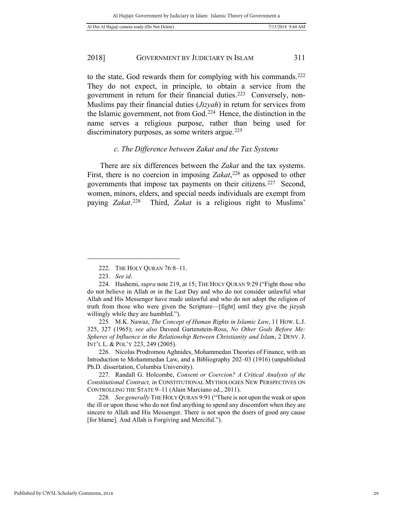to the state, God rewards them for complying with his commands.[222](#page-28-0)  They do not expect, in principle, to obtain a service from the government in return for their financial duties.<sup>[223](#page-28-1)</sup> Conversely, non-Muslims pay their financial duties (*Jizyah*) in return for services from the Islamic government, not from God.[224](#page-28-2) Hence, the distinction in the name serves a religious purpose, rather than being used for discriminatory purposes, as some writers argue.<sup>[225](#page-28-3)</sup>

# *c. The Difference between Zakat and the Tax Systems*

There are six differences between the *Zakat* and the tax systems. First, there is no coercion in imposing *Zakat*, [226](#page-28-4) as opposed to other governments that impose tax payments on their citizens.[227](#page-28-5) Second, women, minors, elders, and special needs individuals are exempt from paying *Zakat*.[228](#page-28-6) Third, *Zakat* is a religious right to Muslims'

<sup>222.</sup> THE HOLY QURAN 76:8–11.

<sup>223.</sup> *See id*.

<span id="page-28-2"></span><span id="page-28-1"></span><span id="page-28-0"></span><sup>224.</sup> Hashemi, *supra* note 219, at 15; THE HOLY QURAN 9:29 ("Fight those who do not believe in Allah or in the Last Day and who do not consider unlawful what Allah and His Messenger have made unlawful and who do not adopt the religion of truth from those who were given the Scripture—[fight] until they give the jizyah willingly while they are humbled.").

<span id="page-28-3"></span><sup>225</sup>*.* M.K. Nawaz, *The Concept of Human Rights in Islamic Law*, 11 HOW. L.J. 325, 327 (1965); *see also* Daveed Gartenstein-Ross, *No Other Gods Before Me: Spheres of Influence in the Relationship Between Christianity and Islam*, 2 DENV. J. INT'L L. & POL'Y 223, 249 (2005).

<span id="page-28-4"></span><sup>226</sup>*.* Nicolas Prodromou Aghnides, Mohammedan Theories of Finance, with an Introduction to Mohammedan Law, and a Bibliography 202–03 (1916) (unpublished Ph.D. dissertation, Columbia University).

<span id="page-28-5"></span><sup>227</sup>*.* Randall G. Holcombe, *Consent or Coercion? A Critical Analysis of the Constitutional Contract, in* CONSTITUTIONAL MYTHOLOGIES NEW PERSPECTIVES ON CONTROLLING THE STATE 9–11 (Alain Marciano ed., 2011).

<span id="page-28-6"></span><sup>228</sup>*. See generally* THE HOLY QURAN 9:91 ("There is not upon the weak or upon the ill or upon those who do not find anything to spend any discomfort when they are sincere to Allah and His Messenger. There is not upon the doers of good any cause [for blame]. And Allah is Forgiving and Merciful.").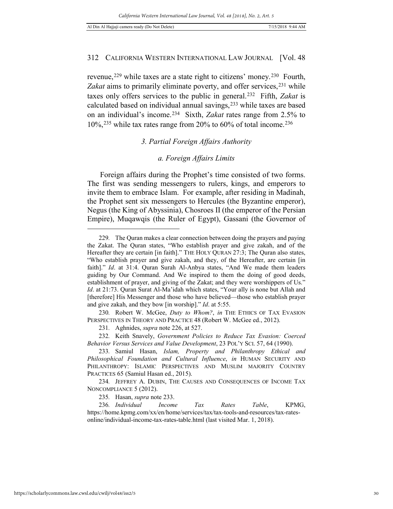revenue,<sup>[229](#page-29-0)</sup> while taxes are a state right to citizens' money.<sup>230</sup> Fourth, Zakat aims to primarily eliminate poverty, and offer services,<sup>[231](#page-29-2)</sup> while taxes only offers services to the public in general.[232](#page-29-3) Fifth, *Zakat* is calculated based on individual annual savings,[233](#page-29-4) while taxes are based on an individual's income.[234](#page-29-5) Sixth, *Zakat* rates range from 2.5% to  $10\%$ ,<sup>235</sup> while tax rates range from 20% to 60% of total income.<sup>[236](#page-29-7)</sup>

# *3. Partial Foreign Affairs Authority*

# *a. Foreign Affairs Limits*

Foreign affairs during the Prophet's time consisted of two forms. The first was sending messengers to rulers, kings, and emperors to invite them to embrace Islam. For example, after residing in Madinah, the Prophet sent six messengers to Hercules (the Byzantine emperor), Negus (the King of Abyssinia), Chosroes II (the emperor of the Persian Empire), Muqawqis (the Ruler of Egypt), Gassani (the Governor of

<span id="page-29-0"></span><sup>229</sup>*.* The Quran makes a clear connection between doing the prayers and paying the Zakat. The Quran states, "Who establish prayer and give zakah, and of the Hereafter they are certain [in faith]." THE HOLY QURAN 27:3; The Quran also states, "Who establish prayer and give zakah, and they, of the Hereafter, are certain [in faith]." *Id*. at 31:4. Quran Surah Al-Anbya states, "And We made them leaders guiding by Our Command. And We inspired to them the doing of good deeds, establishment of prayer, and giving of the Zakat; and they were worshippers of Us." *Id*. at 21:73. Quran Surat Al-Ma'idah which states, "Your ally is none but Allah and [therefore] His Messenger and those who have believed—those who establish prayer and give zakah, and they bow [in worship]." *Id*. at 5:55.

<span id="page-29-1"></span><sup>230</sup>*.* Robert W. McGee, *Duty to Whom?*, *in* THE ETHICS OF TAX EVASION PERSPECTIVES IN THEORY AND PRACTICE 48 (Robert W. McGee ed., 2012).

<sup>231</sup>*.* Aghnides, *supra* note 226, at 527.

<span id="page-29-3"></span><span id="page-29-2"></span><sup>232</sup>*.* Keith Snavely, *Government Policies to Reduce Tax Evasion: Coerced Behavior Versus Services and Value Development*, 23 POL'Y SCI. 57, 64 (1990).

<span id="page-29-4"></span><sup>233</sup>*.* Samiul Hasan, *Islam, Property and Philanthropy Ethical and Philosophical Foundation and Cultural Influence*, *in* HUMAN SECURITY AND PHILANTHROPY: ISLAMIC PERSPECTIVES AND MUSLIM MAJORITY COUNTRY PRACTICES 65 (Samiul Hasan ed., 2015).

<span id="page-29-5"></span><sup>234</sup>*.* JEFFREY A. DUBIN, THE CAUSES AND CONSEQUENCES OF INCOME TAX NONCOMPLIANCE 5 (2012).

<sup>235</sup>*.* Hasan, *supra* note 233.

<span id="page-29-7"></span><span id="page-29-6"></span><sup>236</sup>*. Individual Income Tax Rates Table*, KPMG, https://home.kpmg.com/xx/en/home/services/tax/tax-tools-and-resources/tax-ratesonline/individual-income-tax-rates-table.html (last visited Mar. 1, 2018).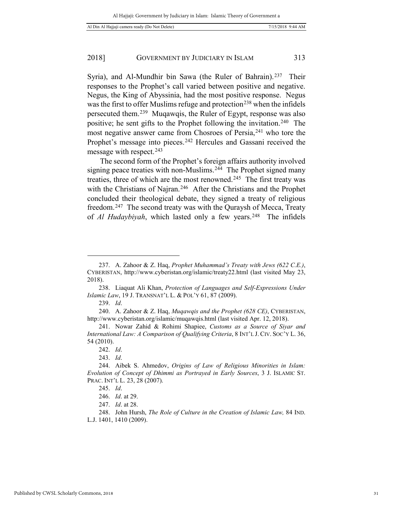Syria), and Al-Mundhir bin Sawa (the Ruler of Bahrain).<sup>237</sup> Their responses to the Prophet's call varied between positive and negative. Negus, the King of Abyssinia, had the most positive response. Negus was the first to offer Muslims refuge and protection<sup>[238](#page-30-1)</sup> when the infidels persecuted them.[239](#page-30-2) Muqawqis, the Ruler of Egypt, response was also positive; he sent gifts to the Prophet following the invitation.[240](#page-30-3) The most negative answer came from Chosroes of Persia, <sup>[241](#page-30-4)</sup> who tore the Prophet's message into pieces.<sup>[242](#page-30-5)</sup> Hercules and Gassani received the message with respect.<sup>[243](#page-30-6)</sup>

The second form of the Prophet's foreign affairs authority involved signing peace treaties with non-Muslims.<sup>244</sup> The Prophet signed many treaties, three of which are the most renowned.[245](#page-30-8) The first treaty was with the Christians of Najran.<sup>[246](#page-30-9)</sup> After the Christians and the Prophet concluded their theological debate, they signed a treaty of religious freedom.[247](#page-30-10) The second treaty was with the Quraysh of Mecca, Treaty of *Al Hudaybiyah*, which lasted only a few years.[248](#page-30-11) The infidels

<span id="page-30-0"></span><sup>237.</sup> A. Zahoor & Z. Haq, *Prophet Muhammad's Treaty with Jews (622 C.E.)*, CYBERISTAN, http://www.cyberistan.org/islamic/treaty22.html (last visited May 23, 2018).

<span id="page-30-1"></span><sup>238.</sup> Liaquat Ali Khan, *Protection of Languages and Self-Expressions Under Islamic Law*, 19 J. TRANSNAT'L L. & POL'Y 61, 87 (2009).

<sup>239.</sup> *Id*.

<span id="page-30-3"></span><span id="page-30-2"></span><sup>240.</sup> A. Zahoor & Z. Haq, *Muqawqis and the Prophet (628 CE)*, CYBERISTAN, http://www.cyberistan.org/islamic/muqawqis.html (last visited Apr. 12, 2018).

<span id="page-30-4"></span><sup>241.</sup> Nowar Zahid & Rohimi Shapiee, *Customs as a Source of Siyar and International Law: A Comparison of Qualifying Criteria*, 8 INT'L J. CIV. Soc'Y L. 36, 54 (2010).

<sup>242.</sup> *Id*.

<sup>243.</sup> *Id*.

<span id="page-30-8"></span><span id="page-30-7"></span><span id="page-30-6"></span><span id="page-30-5"></span><sup>244.</sup> Aibek S. Ahmedov, *Origins of Law of Religious Minorities in Islam: Evolution of Concept of Dhimmi as Portrayed in Early Sources*, 3 J. ISLAMIC ST. PRAC. INT'L L. 23, 28 (2007).

<sup>245.</sup> *Id*.

<sup>246.</sup> *Id*. at 29.

<sup>247.</sup> *Id*. at 28.

<span id="page-30-11"></span><span id="page-30-10"></span><span id="page-30-9"></span><sup>248.</sup> John Hursh, *The Role of Culture in the Creation of Islamic Law,* 84 IND. L.J. 1401, 1410 (2009).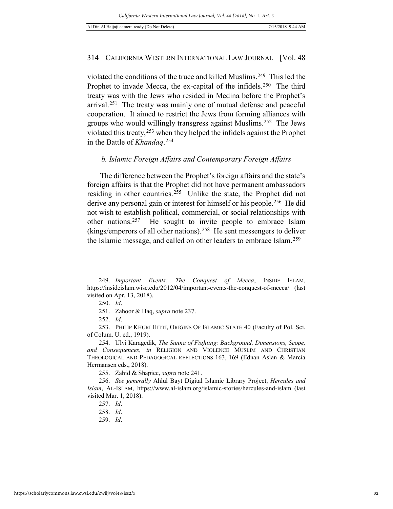violated the conditions of the truce and killed Muslims.[249](#page-31-0) This led the Prophet to invade Mecca, the ex-capital of the infidels.<sup>[250](#page-31-1)</sup> The third treaty was with the Jews who resided in Medina before the Prophet's arrival.[251](#page-31-2) The treaty was mainly one of mutual defense and peaceful cooperation. It aimed to restrict the Jews from forming alliances with groups who would willingly transgress against Muslims.[252](#page-31-3) The Jews violated this treaty,<sup>[253](#page-31-4)</sup> when they helped the infidels against the Prophet in the Battle of *Khandaq*.[254](#page-31-5)

# *b. Islamic Foreign Affairs and Contemporary Foreign Affairs*

The difference between the Prophet's foreign affairs and the state's foreign affairs is that the Prophet did not have permanent ambassadors residing in other countries.[255](#page-31-6) Unlike the state, the Prophet did not derive any personal gain or interest for himself or his people.[256](#page-31-7) He did not wish to establish political, commercial, or social relationships with other nations.<sup>[257](#page-31-8)</sup> He sought to invite people to embrace Islam (kings/emperors of all other nations).[258](#page-31-9) He sent messengers to deliver the Islamic message, and called on other leaders to embrace Islam.[259](#page-31-10)

<span id="page-31-1"></span><span id="page-31-0"></span><sup>249.</sup> *Important Events: The Conquest of Mecca*, INSIDE ISLAM, https://insideislam.wisc.edu/2012/04/important-events-the-conquest-of-mecca/ (last visited on Apr. 13, 2018).

<sup>250.</sup> *Id*.

<sup>251.</sup> Zahoor & Haq, *supra* note 237.

<sup>252.</sup> *Id*.

<span id="page-31-4"></span><span id="page-31-3"></span><span id="page-31-2"></span><sup>253.</sup> PHILIP KHURI HITTI, ORIGINS OF ISLAMIC STATE 40 (Faculty of Pol. Sci. of Colum. U. ed., 1919).

<span id="page-31-5"></span><sup>254.</sup> Ulvi Karagedik, *The Sunna of Fighting: Background, Dimensions, Scope, and Consequences*, *in* RELIGION AND VIOLENCE MUSLIM AND CHRISTIAN THEOLOGICAL AND PEDAGOGICAL REFLECTIONS 163, 169 (Ednan Aslan & Marcia Hermansen eds., 2018).

<sup>255.</sup> Zahid & Shapiee, *supra* note 241.

<span id="page-31-10"></span><span id="page-31-9"></span><span id="page-31-8"></span><span id="page-31-7"></span><span id="page-31-6"></span><sup>256.</sup> *See generally* Ahlul Bayt Digital Islamic Library Project, *Hercules and Islam*, AL-ISLAM, https://www.al-islam.org/islamic-stories/hercules-and-islam (last visited Mar. 1, 2018).

<sup>257.</sup> *Id*.

<sup>258.</sup> *Id*.

<sup>259.</sup> *Id*.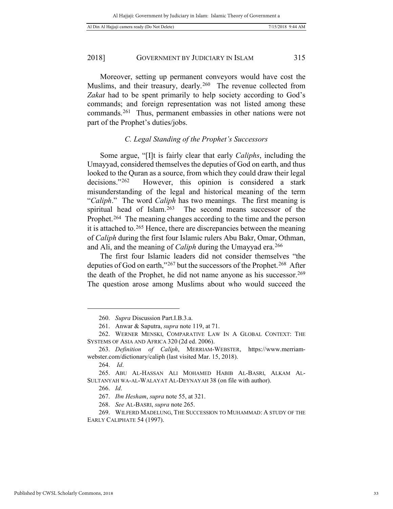| 7/15/2018 9:44 AM<br>Al Din Al Hajjaji camera ready (Do Not Delete) |
|---------------------------------------------------------------------|
|---------------------------------------------------------------------|

Moreover, setting up permanent conveyors would have cost the Muslims, and their treasury, dearly.<sup>260</sup> The revenue collected from *Zakat* had to be spent primarily to help society according to God's commands; and foreign representation was not listed among these commands.[261](#page-32-1) Thus, permanent embassies in other nations were not part of the Prophet's duties/jobs.

# *C. Legal Standing of the Prophet's Successors*

Some argue, "[I]t is fairly clear that early *Caliphs*, including the Umayyad, considered themselves the deputies of God on earth, and thus looked to the Quran as a source, from which they could draw their legal decisions."<sup>262</sup> However, this opinion is considered a stark misunderstanding of the legal and historical meaning of the term "*Caliph*." The word *Caliph* has two meanings. The first meaning is spiritual head of Islam.<sup>[263](#page-32-3)</sup> The second means successor of the Prophet.<sup>[264](#page-32-4)</sup> The meaning changes according to the time and the person it is attached to.[265](#page-32-5) Hence, there are discrepancies between the meaning of *Caliph* during the first four Islamic rulers Abu Bakr, Omar, Othman, and Ali, and the meaning of *Caliph* during the Umayyad era.<sup>[266](#page-32-6)</sup>

The first four Islamic leaders did not consider themselves "the deputies of God on earth,"<sup>[267](#page-32-7)</sup> but the successors of the Prophet.<sup>[268](#page-32-8)</sup> After the death of the Prophet, he did not name anyone as his successor.[269](#page-32-9)  The question arose among Muslims about who would succeed the

<sup>260.</sup> *Supra* Discussion Part.I.B.3.a.

<sup>261.</sup> Anwar & Saputra, *supra* note 119, at 71.

<span id="page-32-2"></span><span id="page-32-1"></span><span id="page-32-0"></span><sup>262.</sup> WERNER MENSKI, COMPARATIVE LAW IN A GLOBAL CONTEXT: THE SYSTEMS OF ASIA AND AFRICA 320 (2d ed. 2006).

<span id="page-32-3"></span><sup>263.</sup> *Definition of Caliph*, MERRIAM-WEBSTER, https://www.merriamwebster.com/dictionary/caliph (last visited Mar. 15, 2018).

<sup>264.</sup> *Id*.

<span id="page-32-6"></span><span id="page-32-5"></span><span id="page-32-4"></span><sup>265.</sup> ABU AL-HASSAN ALI MOHAMED HABIB AL-BASRI, ALKAM AL-SULTANYAH WA-AL-WALAYAT AL-DEYNAYAH 38 (on file with author).

<sup>266.</sup> *Id*.

<sup>267.</sup> *Ibn Hesham*, *supra* note 55, at 321.

<sup>268.</sup> *See* AL-BASRI, *supra* note 265.

<span id="page-32-9"></span><span id="page-32-8"></span><span id="page-32-7"></span><sup>269.</sup> WILFERD MADELUNG, THE SUCCESSION TO MUHAMMAD: A STUDY OF THE EARLY CALIPHATE 54 (1997).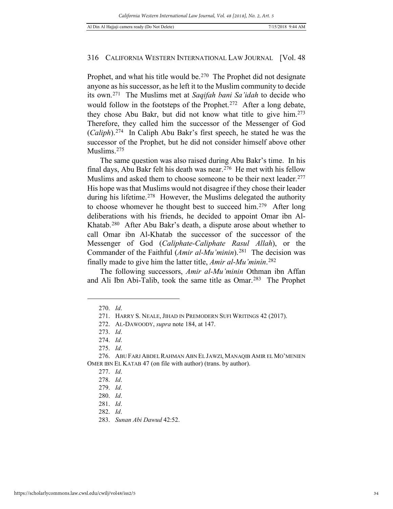Prophet, and what his title would be.<sup>[270](#page-33-0)</sup> The Prophet did not designate anyone as his successor, as he left it to the Muslim community to decide its own.[271](#page-33-1) The Muslims met at *Saqifah bani Sa'idah* to decide who would follow in the footsteps of the Prophet.<sup>[272](#page-33-2)</sup> After a long debate, they chose Abu Bakr, but did not know what title to give him.[273](#page-33-3)  Therefore, they called him the successor of the Messenger of God (*Caliph*).[274](#page-33-4) In Caliph Abu Bakr's first speech, he stated he was the successor of the Prophet, but he did not consider himself above other Muslims.<sup>275</sup>

The same question was also raised during Abu Bakr's time. In his final days, Abu Bakr felt his death was near.[276](#page-33-6) He met with his fellow Muslims and asked them to choose someone to be their next leader.<sup>277</sup> His hope was that Muslims would not disagree if they chose their leader during his lifetime.<sup>278</sup> However, the Muslims delegated the authority to choose whomever he thought best to succeed him.[279](#page-33-9) After long deliberations with his friends, he decided to appoint Omar ibn Al-Khatab.[280](#page-33-10) After Abu Bakr's death, a dispute arose about whether to call Omar ibn Al-Khatab the successor of the successor of the Messenger of God (*Caliphate-Caliphate Rasul Allah*), or the Commander of the Faithful (*Amir al-Mu'minin*).<sup>[281](#page-33-11)</sup> The decision was finally made to give him the latter title, *Amir al-Mu'minin*. [282](#page-33-12)

<span id="page-33-0"></span>The following successors, *Amir al-Mu'minin* Othman ibn Affan and Ali Ibn Abi-Talib, took the same title as Omar.[283](#page-33-13) The Prophet

<sup>270.</sup> *Id*.

<sup>271.</sup> HARRY S. NEALE, JIHAD IN PREMODERN SUFI WRITINGS 42 (2017).

<sup>272.</sup> AL-DAWOODY, *supra* note 184, at 147.

<sup>273.</sup> *Id*.

<sup>274.</sup> *Id*.

<sup>275.</sup> *Id*.

<span id="page-33-10"></span><span id="page-33-9"></span><span id="page-33-8"></span><span id="page-33-7"></span><span id="page-33-6"></span><span id="page-33-5"></span><span id="page-33-4"></span><span id="page-33-3"></span><span id="page-33-2"></span><span id="page-33-1"></span><sup>276.</sup> ABU FARJ ABDEL RAHMAN ABN EL JAWZI, MANAQIB AMIR EL MO'MENIEN OMER IBN EL KATAB 47 (on file with author) (trans. by author).

<sup>277.</sup> *Id*.

<sup>278.</sup> *Id*.

<sup>279.</sup> *Id*.

<sup>280.</sup> *Id*.

<span id="page-33-12"></span><span id="page-33-11"></span><sup>281.</sup> *Id*.

<sup>282.</sup> *Id*.

<span id="page-33-13"></span><sup>283.</sup> *Sunan Abi Dawud* 42:52.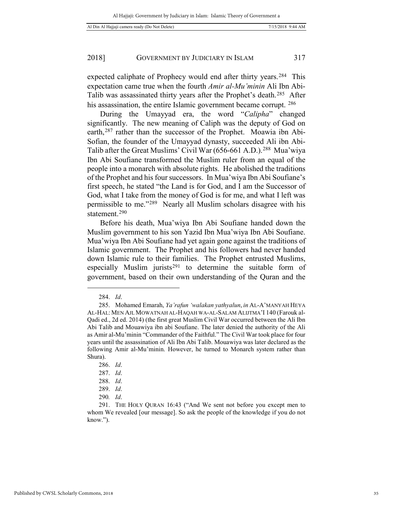expected caliphate of Prophecy would end after thirty years.<sup>284</sup> This expectation came true when the fourth *Amir al-Mu'minin* Ali Ibn Abi-Talib was assassinated thirty years after the Prophet's death.[285](#page-34-1) After his assassination, the entire Islamic government became corrupt. <sup>[286](#page-34-2)</sup>

During the Umayyad era, the word "*Calipha*" changed significantly. The new meaning of Caliph was the deputy of God on earth,[287](#page-34-3) rather than the successor of the Prophet. Moawia ibn Abi-Sofian, the founder of the Umayyad dynasty, succeeded Ali ibn Abi-Talib after the Great Muslims' Civil War (656-661 A.D.).[288](#page-34-4) Mua'wiya Ibn Abi Soufiane transformed the Muslim ruler from an equal of the people into a monarch with absolute rights. He abolished the traditions of the Prophet and his four successors. In Mua'wiya Ibn Abi Soufiane's first speech, he stated "the Land is for God, and I am the Successor of God, what I take from the money of God is for me, and what I left was permissible to me."[289](#page-34-5) Nearly all Muslim scholars disagree with his statement.[290](#page-34-6)

Before his death, Mua'wiya Ibn Abi Soufiane handed down the Muslim government to his son Yazid Ibn Mua'wiya Ibn Abi Soufiane. Mua'wiya Ibn Abi Soufiane had yet again gone against the traditions of Islamic government. The Prophet and his followers had never handed down Islamic rule to their families. The Prophet entrusted Muslims, especially Muslim jurists<sup>[291](#page-34-7)</sup> to determine the suitable form of government, based on their own understanding of the Quran and the

<sup>284.</sup> *Id*.

<span id="page-34-1"></span><span id="page-34-0"></span><sup>285.</sup> Mohamed Emarah, *Ya'rafun 'walakan yathyalun*, *in* AL-A'MANYAH HEYA AL-HAL: MEN AJL MOWATNAH AL-HAQAH WA-AL-SALAM ALIJTMA'I 140 (Farouk al-Qadi ed., 2d ed. 2014) (the first great Muslim Civil War occurred between the Ali Ibn Abi Talib and Mouawiya ibn abi Soufiane. The later denied the authority of the Ali as Amir al-Mu'minin "Commander of the Faithful." The Civil War took place for four years until the assassination of Ali Ibn Abi Talib. Mouawiya was later declared as the following Amir al-Mu'minin. However, he turned to Monarch system rather than Shura).

<sup>286.</sup> *Id*.

<sup>287.</sup> *Id*.

<sup>288.</sup> *Id*.

<sup>289.</sup> *Id*.

<sup>290</sup>*. Id*.

<span id="page-34-7"></span><span id="page-34-6"></span><span id="page-34-5"></span><span id="page-34-4"></span><span id="page-34-3"></span><span id="page-34-2"></span><sup>291.</sup> THE HOLY QURAN 16:43 ("And We sent not before you except men to whom We revealed [our message]. So ask the people of the knowledge if you do not know.").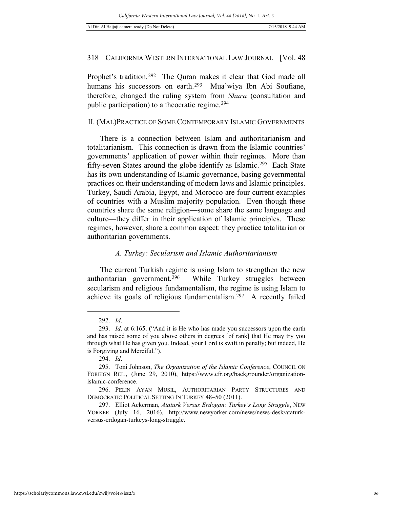Prophet's tradition.<sup>[292](#page-35-0)</sup> The Quran makes it clear that God made all humans his successors on earth.<sup>[293](#page-35-1)</sup> Mua'wiya Ibn Abi Soufiane, therefore, changed the ruling system from *Shura* (consultation and public participation) to a theocratic regime.[294](#page-35-2)

### II. (MAL)PRACTICE OF SOME CONTEMPORARY ISLAMIC GOVERNMENTS

There is a connection between Islam and authoritarianism and totalitarianism. This connection is drawn from the Islamic countries' governments' application of power within their regimes. More than fifty-seven States around the globe identify as Islamic.<sup>295</sup> Each State has its own understanding of Islamic governance, basing governmental practices on their understanding of modern laws and Islamic principles. Turkey, Saudi Arabia, Egypt, and Morocco are four current examples of countries with a Muslim majority population. Even though these countries share the same religion—some share the same language and culture—they differ in their application of Islamic principles. These regimes, however, share a common aspect: they practice totalitarian or authoritarian governments.

#### *A. Turkey: Secularism and Islamic Authoritarianism*

The current Turkish regime is using Islam to strengthen the new authoritarian government.[296](#page-35-4) While Turkey struggles between secularism and religious fundamentalism, the regime is using Islam to achieve its goals of religious fundamentalism.[297](#page-35-5) A recently failed

<sup>292.</sup> *Id*.

<span id="page-35-1"></span><span id="page-35-0"></span><sup>293.</sup> *Id*. at 6:165. ("And it is He who has made you successors upon the earth and has raised some of you above others in degrees [of rank] that He may try you through what He has given you. Indeed, your Lord is swift in penalty; but indeed, He is Forgiving and Merciful.").

<sup>294.</sup> *Id*.

<span id="page-35-3"></span><span id="page-35-2"></span><sup>295.</sup> Toni Johnson, *The Organization of the Islamic Conference*, COUNCIL ON FOREIGN REL., (June 29, 2010), https://www.cfr.org/backgrounder/organizationislamic-conference.

<span id="page-35-4"></span><sup>296.</sup> PELIN AYAN MUSIL, AUTHORITARIAN PARTY STRUCTURES AND DEMOCRATIC POLITICAL SETTING IN TURKEY 48–50 (2011).

<span id="page-35-5"></span><sup>297.</sup> Elliot Ackerman, *Ataturk Versus Erdogan: Turkey's Long Struggle*, NEW YORKER (July 16, 2016), http://www.newyorker.com/news/news-desk/ataturkversus-erdogan-turkeys-long-struggle.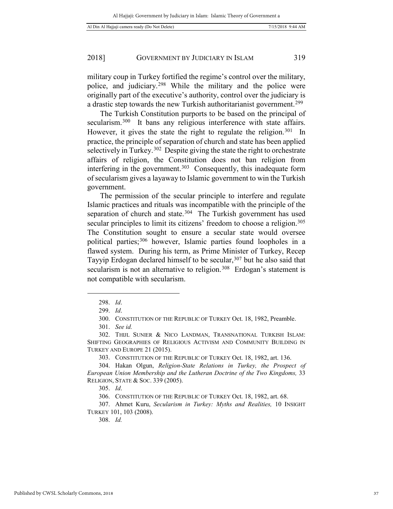military coup in Turkey fortified the regime's control over the military, police, and judiciary.[298](#page-36-0) While the military and the police were originally part of the executive's authority, control over the judiciary is a drastic step towards the new Turkish authoritarianist government.[299](#page-36-1)

The Turkish Constitution purports to be based on the principal of secularism.<sup>[300](#page-36-2)</sup> It bans any religious interference with state affairs. However, it gives the state the right to regulate the religion.<sup>[301](#page-36-3)</sup> In practice, the principle of separation of church and state has been applied selectively in Turkey.<sup>302</sup> Despite giving the state the right to orchestrate affairs of religion, the Constitution does not ban religion from interfering in the government.<sup>[303](#page-36-5)</sup> Consequently, this inadequate form of secularism gives a layaway to Islamic government to win the Turkish government.

The permission of the secular principle to interfere and regulate Islamic practices and rituals was incompatible with the principle of the separation of church and state.<sup>304</sup> The Turkish government has used secular principles to limit its citizens' freedom to choose a religion.<sup>305</sup> The Constitution sought to ensure a secular state would oversee political parties;[306](#page-36-8) however, Islamic parties found loopholes in a flawed system. During his term, as Prime Minister of Turkey, Recep Tayyip Erdogan declared himself to be secular,<sup>[307](#page-36-9)</sup> but he also said that secularism is not an alternative to religion.<sup>308</sup> Erdogan's statement is not compatible with secularism.

<span id="page-36-1"></span><span id="page-36-0"></span>-

308. *Id.*

<sup>298.</sup> *Id*.

<sup>299.</sup> *Id*.

<sup>300.</sup> CONSTITUTION OF THE REPUBLIC OF TURKEY Oct. 18, 1982, Preamble.

<sup>301.</sup> *See id.*

<span id="page-36-4"></span><span id="page-36-3"></span><span id="page-36-2"></span><sup>302.</sup> THIJL SUNIER & NICO LANDMAN, TRANSNATIONAL TURKISH ISLAM: SHIFTING GEOGRAPHIES OF RELIGIOUS ACTIVISM AND COMMUNITY BUILDING IN TURKEY AND EUROPE 21 (2015).

<sup>303.</sup> CONSTITUTION OF THE REPUBLIC OF TURKEY Oct. 18, 1982, art. 136.

<span id="page-36-6"></span><span id="page-36-5"></span><sup>304.</sup> Hakan Olgun, *Religion-State Relations in Turkey, the Prospect of European Union Membership and the Lutheran Doctrine of the Two Kingdoms,* 33 RELIGION, STATE & SOC. 339 (2005).

<sup>305.</sup> *Id*.

<sup>306.</sup> CONSTITUTION OF THE REPUBLIC OF TURKEY Oct. 18, 1982, art. 68.

<span id="page-36-10"></span><span id="page-36-9"></span><span id="page-36-8"></span><span id="page-36-7"></span><sup>307.</sup> Ahmet Kuru, *Secularism in Turkey: Myths and Realities,* 10 INSIGHT TURKEY 101, 103 (2008).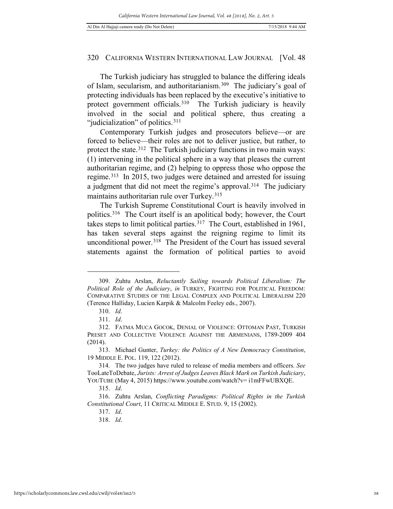The Turkish judiciary has struggled to balance the differing ideals of Islam, secularism, and authoritarianism.[309](#page-37-0) The judiciary's goal of protecting individuals has been replaced by the executive's initiative to protect government officials.[310](#page-37-1) The Turkish judiciary is heavily involved in the social and political sphere, thus creating a "judicialization" of politics.<sup>[311](#page-37-2)</sup>

Contemporary Turkish judges and prosecutors believe—or are forced to believe—their roles are not to deliver justice, but rather, to protect the state.<sup>312</sup> The Turkish judiciary functions in two main ways: (1) intervening in the political sphere in a way that pleases the current authoritarian regime, and (2) helping to oppress those who oppose the regime.[313](#page-37-4) In 2015, two judges were detained and arrested for issuing a judgment that did not meet the regime's approval.[314](#page-37-5) The judiciary maintains authoritarian rule over Turkey.<sup>[315](#page-37-6)</sup>

The Turkish Supreme Constitutional Court is heavily involved in politics.[316](#page-37-7) The Court itself is an apolitical body; however, the Court takes steps to limit political parties.[317](#page-37-8) The Court, established in 1961, has taken several steps against the reigning regime to limit its unconditional power.<sup>[318](#page-37-9)</sup> The President of the Court has issued several statements against the formation of political parties to avoid

<span id="page-37-0"></span><sup>309.</sup> Zuhtu Arslan, *Reluctantly Sailing towards Political Liberalism: The Political Role of the Judiciary*, *in* TURKEY, FIGHTING FOR POLITICAL FREEDOM: COMPARATIVE STUDIES OF THE LEGAL COMPLEX AND POLITICAL LIBERALISM 220 (Terence Halliday, Lucien Karpik & Malcolm Feeley eds., 2007).

<sup>310.</sup> *Id*.

<sup>311.</sup> *Id*.

<span id="page-37-3"></span><span id="page-37-2"></span><span id="page-37-1"></span><sup>312.</sup> FATMA MUCA GOCOK, DENIAL OF VIOLENCE: OTTOMAN PAST, TURKISH PRESET AND COLLECTIVE VIOLENCE AGAINST THE ARMENIANS, 1789-2009 404 (2014).

<span id="page-37-4"></span><sup>313.</sup> Michael Gunter, *Turkey: the Politics of A New Democracy Constitution*, 19 MIDDLE E. POL. 119, 122 (2012).

<span id="page-37-5"></span><sup>314.</sup> The two judges have ruled to release of media members and officers. *See*  TooLateToDebate, *Jurists: Arrest of Judges Leaves Black Mark on Turkish Judiciary*, YOUTUBE (May 4, 2015) https://www.youtube.com/watch?v=  $i1$ mFFwUBXQE.

<sup>315.</sup> *Id*.

<span id="page-37-9"></span><span id="page-37-8"></span><span id="page-37-7"></span><span id="page-37-6"></span><sup>316.</sup> Zuhtu Arslan, *Conflicting Paradigms: Political Rights in the Turkish Constitutional Court*, 11 CRITICAL MIDDLE E. STUD. 9, 15 (2002).

<sup>317.</sup> *Id*.

<sup>318.</sup> *Id*.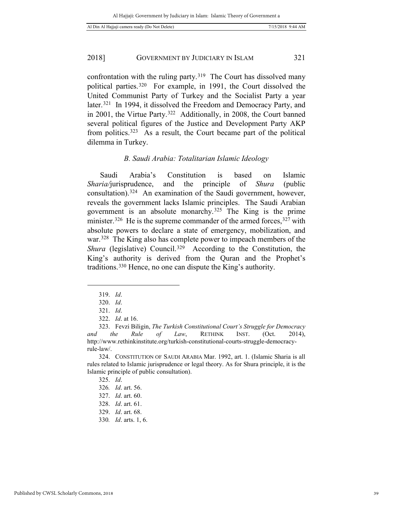confrontation with the ruling party.<sup>[319](#page-38-0)</sup> The Court has dissolved many political parties.[320](#page-38-1) For example, in 1991, the Court dissolved the United Communist Party of Turkey and the Socialist Party a year later.<sup>[321](#page-38-2)</sup> In 1994, it dissolved the Freedom and Democracy Party, and in 2001, the Virtue Party.[322](#page-38-3) Additionally, in 2008, the Court banned several political figures of the Justice and Development Party AKP from politics.[323](#page-38-4) As a result, the Court became part of the political dilemma in Turkey.

# *B. Saudi Arabia: Totalitarian Islamic Ideology*

Saudi Arabia's Constitution is based on Islamic *Sharia/*jurisprudence, and the principle of *Shura* (public consultation).[324](#page-38-5) An examination of the Saudi government, however, reveals the government lacks Islamic principles. The Saudi Arabian government is an absolute monarchy.[325](#page-38-6) The King is the prime minister.<sup>[326](#page-38-7)</sup> He is the supreme commander of the armed forces,<sup>[327](#page-38-8)</sup> with absolute powers to declare a state of emergency, mobilization, and war.<sup>328</sup> The King also has complete power to impeach members of the *Shura* (legislative) Council.<sup>329</sup> According to the Constitution, the King's authority is derived from the Quran and the Prophet's traditions. [330](#page-38-11) Hence, no one can dispute the King's authority.

<sup>319.</sup> *Id*.

<sup>320.</sup> *Id*.

<sup>321.</sup> *Id*.

<sup>322.</sup> *Id*. at 16.

<span id="page-38-4"></span><span id="page-38-3"></span><span id="page-38-2"></span><span id="page-38-1"></span><span id="page-38-0"></span><sup>323.</sup> Fevzi Biligin, *The Turkish Constitutional Court's Struggle for Democracy and the Rule of Law*, RETHINK INST. (Oct. 2014), http://www.rethinkinstitute.org/turkish-constitutional-courts-struggle-democracyrule-law/.

<span id="page-38-8"></span><span id="page-38-7"></span><span id="page-38-6"></span><span id="page-38-5"></span><sup>324.</sup> CONSTITUTION OF SAUDI ARABIA Mar. 1992, art. 1. (Islamic Sharia is all rules related to Islamic jurisprudence or legal theory. As for Shura principle, it is the Islamic principle of public consultation).

<sup>325.</sup> *Id*.

<sup>326</sup>*. Id*. art. 56.

<sup>327.</sup> *Id*. art. 60.

<span id="page-38-9"></span><sup>328.</sup> *Id*. art. 61.

<span id="page-38-11"></span><span id="page-38-10"></span><sup>329.</sup> *Id*. art. 68.

<sup>330</sup>*. Id*. arts. 1, 6.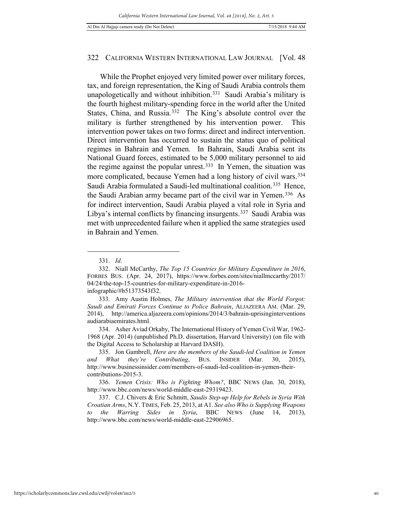While the Prophet enjoyed very limited power over military forces, tax, and foreign representation, the King of Saudi Arabia controls them unapologetically and without inhibition.[331](#page-39-0) Saudi Arabia's military is the fourth highest military-spending force in the world after the United States, China, and Russia.<sup>332</sup> The King's absolute control over the military is further strengthened by his intervention power. This intervention power takes on two forms: direct and indirect intervention. Direct intervention has occurred to sustain the status quo of political regimes in Bahrain and Yemen. In Bahrain, Saudi Arabia sent its National Guard forces, estimated to be 5,000 military personnel to aid the regime against the popular unrest.[333](#page-39-2) In Yemen, the situation was more complicated, because Yemen had a long history of civil wars.[334](#page-39-3) Saudi Arabia formulated a Saudi-led multinational coalition.<sup>[335](#page-39-4)</sup> Hence, the Saudi Arabian army became part of the civil war in Yemen.[336](#page-39-5) As for indirect intervention, Saudi Arabia played a vital role in Syria and Libya's internal conflicts by financing insurgents.[337](#page-39-6) Saudi Arabia was met with unprecedented failure when it applied the same strategies used in Bahrain and Yemen.

 $\overline{a}$ 

<span id="page-39-3"></span>334. Asher Aviad Orkaby, The International History of Yemen Civil War, 1962- 1968 (Apr. 2014) (unpublished Ph.D. dissertation, Harvard University) (on file with the Digital Access to Scholarship at Harvard DASH).

<sup>331.</sup> *Id*.

<span id="page-39-1"></span><span id="page-39-0"></span><sup>332.</sup> Niall McCarthy, *The Top 15 Countries for Military Expenditure in 2016*, FORBES BUS. (Apr. 24, 2017), https://www.forbes.com/sites/niallmccarthy/2017/ 04/24/the-top-15-countries-for-military-expenditure-in-2016 infographic/#b51373543f32.

<span id="page-39-2"></span><sup>333.</sup> Amy Austin Holmes, *The Military intervention that the World Forgot: Saudi and Emirati Forces Continue to Police Bahrain*, ALJAZEERA AM. (Mar. 29, 2014), http://america.aljazeera.com/opinions/2014/3/bahrain-uprisinginterventions audiarabiaemirates.html.

<span id="page-39-4"></span><sup>335.</sup> Jon Gambrell, *Here are the members of the Saudi-led Coalition in Yemen and What they're Contributing*, BUS. INSIDER (Mar. 30, 2015), http://www.businessinsider.com/members-of-saudi-led-coalition-in-yemen-theircontributions-2015-3.

<span id="page-39-5"></span><sup>336.</sup> *Yemen Crisis: Who is Fighting Whom?*, BBC NEWS (Jan. 30, 2018), http://www.bbc.com/news/world-middle-east-29319423.

<span id="page-39-6"></span><sup>337.</sup> C.J. Chivers & Eric Schmitt, *Saudis Step-up Help for Rebels in Syria With Croatian Arms*, N.Y. TIMES, Feb. 25, 2013, at A1. *See also Who is Supplying Weapons to the Warring Sides in Syria*, BBC NEWS (June 14, 2013), http://www.bbc.com/news/world-middle-east-22906965.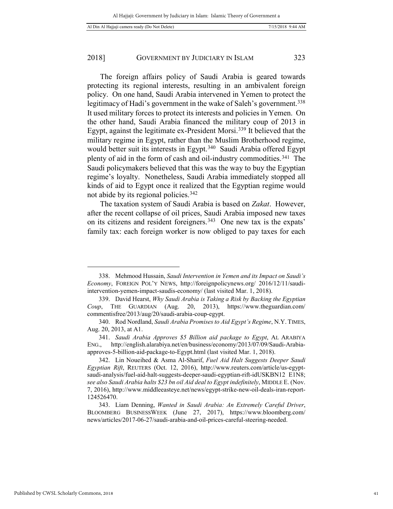The foreign affairs policy of Saudi Arabia is geared towards protecting its regional interests, resulting in an ambivalent foreign policy. On one hand, Saudi Arabia intervened in Yemen to protect the legitimacy of Hadi's government in the wake of Saleh's government.<sup>338</sup> It used military forces to protect its interests and policies in Yemen. On the other hand, Saudi Arabia financed the military coup of 2013 in Egypt, against the legitimate ex-President Morsi.[339](#page-40-1) It believed that the military regime in Egypt, rather than the Muslim Brotherhood regime, would better suit its interests in Egypt.<sup>[340](#page-40-2)</sup> Saudi Arabia offered Egypt plenty of aid in the form of cash and oil-industry commodities.[341](#page-40-3) The Saudi policymakers believed that this was the way to buy the Egyptian regime's loyalty. Nonetheless, Saudi Arabia immediately stopped all kinds of aid to Egypt once it realized that the Egyptian regime would not abide by its regional policies.[342](#page-40-4)

The taxation system of Saudi Arabia is based on *Zakat*. However, after the recent collapse of oil prices, Saudi Arabia imposed new taxes on its citizens and resident foreigners.[343](#page-40-5) One new tax is the expats' family tax: each foreign worker is now obliged to pay taxes for each

<span id="page-40-0"></span><sup>338.</sup> Mehmood Hussain, *Saudi Intervention in Yemen and its Impact on Saudi's Economy*, FOREIGN POL'Y NEWS, http://foreignpolicynews.org/ 2016/12/11/saudiintervention-yemen-impact-saudis-economy/ (last visited Mar. 1, 2018).

<span id="page-40-1"></span><sup>339.</sup> David Hearst, *Why Saudi Arabia is Taking a Risk by Backing the Egyptian Coup*, THE GUARDIAN (Aug. 20, 2013), https://www.theguardian.com/ commentisfree/2013/aug/20/saudi-arabia-coup-egypt.

<span id="page-40-2"></span><sup>340.</sup> Rod Nordland, *Saudi Arabia Promises to Aid Egypt's Regime*, N.Y. TIMES, Aug. 20, 2013, at A1.

<span id="page-40-3"></span><sup>341.</sup> *Saudi Arabia Approves \$5 Billion aid package to Egypt*, AL ARABIYA ENG., http://english.alarabiya.net/en/business/economy/2013/07/09/Saudi-Arabiaapproves-5-billion-aid-package-to-Egypt.html (last visited Mar. 1, 2018).

<span id="page-40-4"></span><sup>342.</sup> Lin Noueihed & Asma Al-Sharif, *Fuel Aid Halt Suggests Deeper Saudi Egyptian Rift*, REUTERS (Oct. 12, 2016), http://www.reuters.com/article/us-egyptsaudi-analysis/fuel-aid-halt-suggests-deeper-saudi-egyptian-rift-idUSKBN12 E1N8; *see also Saudi Arabia halts \$23 bn oil Aid deal to Egypt indefinitely*, MIDDLE E. (Nov. 7, 2016), http://www.middleeasteye.net/news/egypt-strike-new-oil-deals-iran-report-124526470.

<span id="page-40-5"></span><sup>343.</sup> Liam Denning, *Wanted in Saudi Arabia: An Extremely Careful Driver*, BLOOMBERG BUSINESSWEEK (June 27, 2017), https://www.bloomberg.com/ news/articles/2017-06-27/saudi-arabia-and-oil-prices-careful-steering-needed.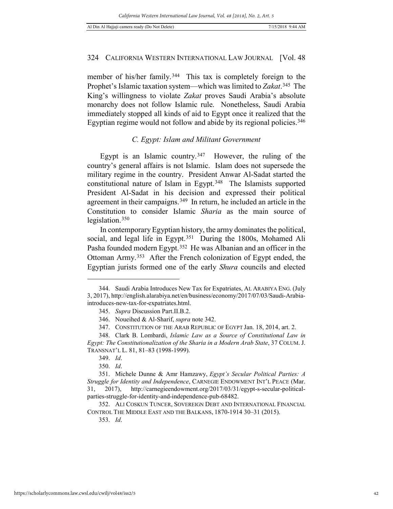member of his/her family.<sup>[344](#page-41-0)</sup> This tax is completely foreign to the Prophet's Islamic taxation system—which was limited to *Zakat*.[345](#page-41-1) The King's willingness to violate *Zakat* proves Saudi Arabia's absolute monarchy does not follow Islamic rule. Nonetheless, Saudi Arabia immediately stopped all kinds of aid to Egypt once it realized that the Egyptian regime would not follow and abide by its regional policies.<sup>[346](#page-41-2)</sup>

#### *C. Egypt: Islam and Militant Government*

Egypt is an Islamic country.<sup>347</sup> However, the ruling of the country's general affairs is not Islamic. Islam does not supersede the military regime in the country. President Anwar Al-Sadat started the constitutional nature of Islam in Egypt.[348](#page-41-4) The Islamists supported President Al-Sadat in his decision and expressed their political agreement in their campaigns.[349](#page-41-5) In return, he included an article in the Constitution to consider Islamic *Sharia* as the main source of legislation.[350](#page-41-6)

In contemporary Egyptian history, the army dominates the political, social, and legal life in Egypt.<sup>[351](#page-41-7)</sup> During the 1800s, Mohamed Ali Pasha founded modern Egypt.<sup>352</sup> He was Albanian and an officer in the Ottoman Army.[353](#page-41-9) After the French colonization of Egypt ended, the Egyptian jurists formed one of the early *Shura* councils and elected

1

<span id="page-41-1"></span><span id="page-41-0"></span><sup>344.</sup> Saudi Arabia Introduces New Tax for Expatriates, AL ARABIYA ENG. (July 3, 2017), http://english.alarabiya.net/en/business/economy/2017/07/03/Saudi-Arabiaintroduces-new-tax-for-expatriates.html.

<sup>345.</sup> *Supra* Discussion Part.II.B.2.

<sup>346.</sup> Noueihed & Al-Sharif, *supra* note 342.

<sup>347.</sup> CONSTITUTION OF THE ARAB REPUBLIC OF EGYPT Jan. 18, 2014, art. 2.

<span id="page-41-4"></span><span id="page-41-3"></span><span id="page-41-2"></span><sup>348.</sup> Clark B. Lombardi, *Islamic Law as a Source of Constitutional Law in Egypt: The Constitutionalization of the Sharia in a Modern Arab State*, 37 COLUM. J. TRANSNAT'L L. 81, 81–83 (1998-1999).

<sup>349.</sup> *Id*.

<sup>350.</sup> *Id*.

<span id="page-41-7"></span><span id="page-41-6"></span><span id="page-41-5"></span><sup>351.</sup> Michele Dunne & Amr Hamzawy, *Egypt's Secular Political Parties: A Struggle for Identity and Independence*, CARNEGIE ENDOWMENT INT'L PEACE (Mar. 31, 2017), http://carnegieendowment.org/2017/03/31/egypt-s-secular-politicalparties-struggle-for-identity-and-independence-pub-68482.

<span id="page-41-9"></span><span id="page-41-8"></span><sup>352.</sup> ALI COSKUN TUNCER, SOVEREIGN DEBT AND INTERNATIONAL FINANCIAL CONTROL THE MIDDLE EAST AND THE BALKANS, 1870-1914 30–31 (2015).

<sup>353.</sup> *Id*.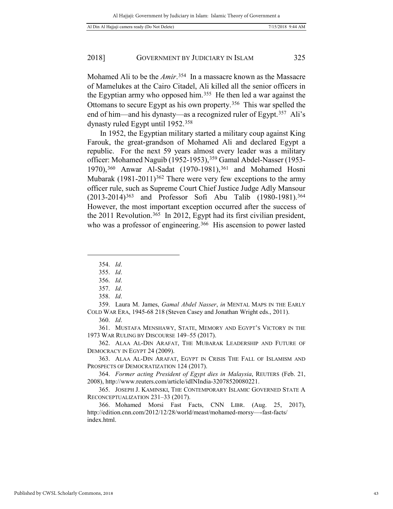Mohamed Ali to be the *Amir*.[354](#page-42-0) In a massacre known as the Massacre of Mamelukes at the Cairo Citadel, Ali killed all the senior officers in the Egyptian army who opposed him.[355](#page-42-1) He then led a war against the Ottomans to secure Egypt as his own property.[356](#page-42-2) This war spelled the end of him—and his dynasty—as a recognized ruler of Egypt.[357](#page-42-3) Ali's dynasty ruled Egypt until 1952.[358](#page-42-4)

In 1952, the Egyptian military started a military coup against King Farouk, the great-grandson of Mohamed Ali and declared Egypt a republic. For the next 59 years almost every leader was a military officer: Mohamed Naguib (1952-1953), [359](#page-42-5) Gamal Abdel-Nasser (1953-1970),<sup>[360](#page-42-6)</sup> Anwar Al-Sadat (1970-1981),<sup>[361](#page-42-7)</sup> and Mohamed Hosni Mubarak  $(1981-2011)^{362}$  $(1981-2011)^{362}$  $(1981-2011)^{362}$  There were very few exceptions to the army officer rule, such as Supreme Court Chief Justice Judge Adly Mansour (2013-2014)[363](#page-42-9) and Professor Sofi Abu Talib (1980-1981).[364](#page-42-10)  However, the most important exception occurred after the success of the 2011 Revolution.<sup>[365](#page-42-11)</sup> In 2012, Egypt had its first civilian president, who was a professor of engineering.<sup>366</sup> His ascension to power lasted

<span id="page-42-1"></span><span id="page-42-0"></span>-

<span id="page-42-5"></span><span id="page-42-4"></span><span id="page-42-3"></span><span id="page-42-2"></span>359. Laura M. James, *Gamal Abdel Nasser*, *in* MENTAL MAPS IN THE EARLY COLD WAR ERA, 1945-68 218 (Steven Casey and Jonathan Wright eds., 2011).

360. *Id*.

<span id="page-42-7"></span><span id="page-42-6"></span>361. MUSTAFA MENSHAWY, STATE, MEMORY AND EGYPT'S VICTORY IN THE 1973 WAR RULING BY DISCOURSE 149–55 (2017).

<span id="page-42-8"></span>362. ALAA AL-DIN ARAFAT, THE MUBARAK LEADERSHIP AND FUTURE OF DEMOCRACY IN EGYPT 24 (2009).

<span id="page-42-9"></span>363. ALAA AL-DIN ARAFAT, EGYPT IN CRISIS THE FALL OF ISLAMISM AND PROSPECTS OF DEMOCRATIZATION 124 (2017).

<span id="page-42-10"></span>364. *Former acting President of Egypt dies in Malaysia*, REUTERS (Feb. 21, 2008), http://www.reuters.com/article/idINIndia-32078520080221.

<span id="page-42-11"></span>365. JOSEPH J. KAMINSKI, THE CONTEMPORARY ISLAMIC GOVERNED STATE A RECONCEPTUALIZATION 231–33 (2017).

<span id="page-42-12"></span>366. Mohamed Morsi Fast Facts, CNN LIBR. (Aug. 25, 2017), http://edition.cnn.com/2012/12/28/world/meast/mohamed-morsy—-fast-facts/ index.html.

<sup>354.</sup> *Id*.

<sup>355.</sup> *Id*.

<sup>356.</sup> *Id*.

<sup>357.</sup> *Id*.

<sup>358.</sup> *Id*.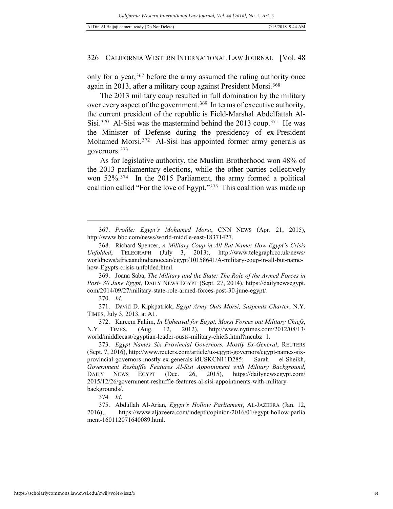only for a year,  $367$  before the army assumed the ruling authority once again in 2013, after a military coup against President Morsi.<sup>[368](#page-43-1)</sup>

The 2013 military coup resulted in full domination by the military over every aspect of the government.<sup>[369](#page-43-2)</sup> In terms of executive authority, the current president of the republic is Field-Marshal Abdelfattah Al-Sisi.<sup>370</sup> Al-Sisi was the mastermind behind the 2013 coup.<sup>371</sup> He was the Minister of Defense during the presidency of ex-President Mohamed Morsi.<sup>372</sup> Al-Sisi has appointed former army generals as governors.[373](#page-43-6)

As for legislative authority, the Muslim Brotherhood won 48% of the 2013 parliamentary elections, while the other parties collectively won 52%.[374](#page-43-7) In the 2015 Parliament, the army formed a political coalition called "For the love of Egypt."[375](#page-43-8) This coalition was made up

 $\overline{a}$ 

<span id="page-43-4"></span><span id="page-43-3"></span>371. David D. Kipkpatrick, *Egypt Army Outs Morsi, Suspends Charter*, N.Y. TIMES, July 3, 2013, at A1.

<span id="page-43-5"></span>372. Kareem Fahim, *In Upheaval for Egypt, Morsi Forces out Military Chiefs*, N.Y. TIMES, (Aug. 12, 2012), http://www.nytimes.com/2012/08/13/ world/middleeast/egyptian-leader-ousts-military-chiefs.html?mcubz=1.

374*. Id*.

<span id="page-43-8"></span><span id="page-43-7"></span>375. Abdullah Al-Arian, *Egypt's Hollow Parliament*, AL-JAZEERA (Jan. 12, 2016), https://www.aljazeera.com/indepth/opinion/2016/01/egypt-hollow-parlia ment-160112071640089.html.

<span id="page-43-0"></span><sup>367.</sup> *Profile: Egypt's Mohamed Morsi*, CNN NEWS (Apr. 21, 2015), http://www.bbc.com/news/world-middle-east-18371427.

<span id="page-43-1"></span><sup>368.</sup> Richard Spencer, *A Military Coup in All But Name: How Egypt's Crisis Unfolded*, TELEGRAPH (July 3, 2013), http://www.telegraph.co.uk/news/ worldnews/africaandindianocean/egypt/10158641/A-military-coup-in-all-but-namehow-Egypts-crisis-unfolded.html.

<span id="page-43-2"></span><sup>369.</sup> Joana Saba, *The Military and the State: The Role of the Armed Forces in Post- 30 June Egypt*, DAILY NEWS EGYPT (Sept. 27, 2014), https://dailynewsegypt. com/2014/09/27/military-state-role-armed-forces-post-30-june-egypt/.

<sup>370.</sup> *Id*.

<span id="page-43-6"></span><sup>373.</sup> *Egypt Names Six Provincial Governors, Mostly Ex-General*, REUTERS (Sept. 7, 2016), http://www.reuters.com/article/us-egypt-governors/egypt-names-sixprovincial-governors-mostly-ex-generals-idUSKCN11D285; Sarah el-Sheikh, *Government Reshuffle Features Al-Sisi Appointment with Military Background*, DAILY NEWS EGYPT (Dec. 26, 2015), https://dailynewsegypt.com/ 2015/12/26/government-reshuffle-features-al-sisi-appointments-with-militarybackgrounds/.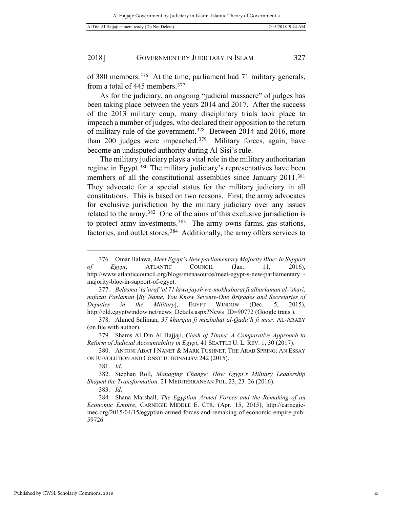of 380 members.[376](#page-44-0) At the time, parliament had 71 military generals, from a total of 445 members.[377](#page-44-1)

As for the judiciary, an ongoing "judicial massacre" of judges has been taking place between the years 2014 and 2017. After the success of the 2013 military coup, many disciplinary trials took place to impeach a number of judges, who declared their opposition to the return of military rule of the government.[378](#page-44-2) Between 2014 and 2016, more than 200 judges were impeached.[379](#page-44-3) Military forces, again, have become an undisputed authority during Al-Sisi's rule.

The military judiciary plays a vital role in the military authoritarian regime in Egypt.[380](#page-44-4) The military judiciary's representatives have been members of all the constitutional assemblies since January 2011.<sup>381</sup> They advocate for a special status for the military judiciary in all constitutions. This is based on two reasons. First, the army advocates for exclusive jurisdiction by the military judiciary over any issues related to the army.[382](#page-44-6) One of the aims of this exclusive jurisdiction is to protect army investments.<sup>383</sup> The army owns farms, gas stations, factories, and outlet stores.[384](#page-44-8) Additionally, the army offers services to

1

<span id="page-44-0"></span><sup>376.</sup> Omar Halawa, *Meet Egypt's New parliamentary Majority Bloc: In Support of Egypt*, ATLANTIC COUNCIL (Jan. 11, 2016), http://www.atlanticcouncil.org/blogs/menasource/meet-egypt-s-new-parliamentary majority-bloc-in-support-of-egypt.

<span id="page-44-1"></span><sup>377.</sup> *Belasma' ta'araf 'al 71 lawa jaysh we-mokhabarat fi albarlaman al-'skari, nafazat Parlaman* [*By Name, You Know Seventy-One Brigades and Secretaries of Deputies in the Military*], EGYPT WINDOW (Dec. 5, 2015), http://old.egyptwindow.net/news\_Details.aspx?News\_ID=90772 (Google trans.).

<span id="page-44-2"></span><sup>378.</sup> Ahmed Saliman, *37 kharqan fi mazbahat al-Qada'h fi misr,* AL-ARABY (on file with author).

<span id="page-44-3"></span><sup>379.</sup> Shams Al Din Al Hajjaji, *Clash of Titans: A Comparative Approach to Reform of Judicial Accountability in Egypt*, 41 SEATTLE U. L. REV. 1, 30 (2017).

<span id="page-44-4"></span><sup>380.</sup> ANTONI ABAT I NANET & MARK TUSHNET, THE ARAB SPRING: AN ESSAY ON REVOLUTION AND CONSTITUTIONALISM 242 (2015).

<sup>381.</sup> *Id*.

<span id="page-44-6"></span><span id="page-44-5"></span><sup>382.</sup> Stephan Roll, *Managing Change: How Egypt's Military Leadership Shaped the Transformation,* 21 MEDITERRANEAN POL. 23, 23–26 (2016).

<sup>383.</sup> *Id*.

<span id="page-44-8"></span><span id="page-44-7"></span><sup>384.</sup> Shana Marshall, *The Egyptian Armed Forces and the Remaking of an Economic Empire*, CARNEGIE MIDDLE E. CTR. (Apr. 15, 2015), http://carnegiemec.org/2015/04/15/egyptian-armed-forces-and-remaking-of-economic-empire-pub-59726.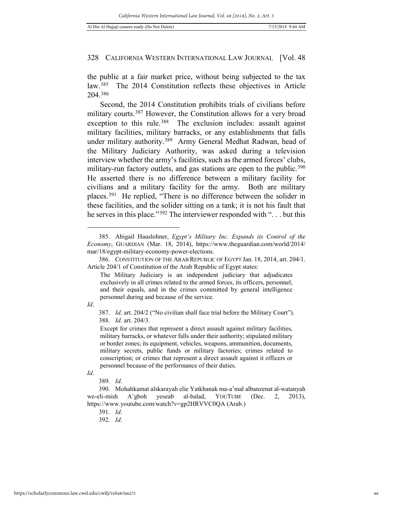the public at a fair market price, without being subjected to the tax law.[385](#page-45-0) The 2014 Constitution reflects these objectives in Article 204.[386](#page-45-1)

Second, the 2014 Constitution prohibits trials of civilians before military courts.[387](#page-45-2) However, the Constitution allows for a very broad exception to this rule.<sup>[388](#page-45-3)</sup> The exclusion includes: assault against military facilities, military barracks, or any establishments that falls under military authority.[389](#page-45-4) Army General Medhat Radwan, head of the Military Judiciary Authority, was asked during a television interview whether the army's facilities, such as the armed forces' clubs, military-run factory outlets, and gas stations are open to the public.<sup>390</sup> He asserted there is no difference between a military facility for civilians and a military facility for the army. Both are military places.[391](#page-45-6) He replied, "There is no difference between the solider in these facilities, and the solider sitting on a tank; it is not his fault that he serves in this place."[392](#page-46-0) The interviewer responded with ". . . but this

<span id="page-45-3"></span><span id="page-45-2"></span>*Id*.

<span id="page-45-0"></span><sup>385.</sup> Abigail Hauslohner, *Egypt's Military Inc. Expands its Control of the Economy*, GUARDIAN (Mar. 18, 2014), https://www.theguardian.com/world/2014/ mar/18/egypt-military-economy-power-elections.

<span id="page-45-1"></span><sup>386.</sup> CONSTITUTION OF THE ARAB REPUBLIC OF EGYPT Jan. 18, 2014, art. 204/1. Article 204/1 of Constitution of the Arab Republic of Egypt states:

The Military Judiciary is an independent judiciary that adjudicates exclusively in all crimes related to the armed forces, its officers, personnel, and their equals, and in the crimes committed by general intelligence personnel during and because of the service.

<sup>387.</sup> *Id*. art. 204/2 ("No civilian shall face trial before the Military Court"). 388. *Id*. art. 204/3.

Except for crimes that represent a direct assault against military facilities, military barracks, or whatever falls under their authority; stipulated military or border zones; its equipment, vehicles, weapons, ammunition, documents, military secrets, public funds or military factories; crimes related to conscription; or crimes that represent a direct assault against it officers or personnel because of the performance of their duties.

*Id*.

<sup>389.</sup> *Id*.

<span id="page-45-6"></span><span id="page-45-5"></span><span id="page-45-4"></span><sup>390.</sup> Mohahkamat alskarayah elie Yatkhanak ma-a'mal albanzenat al-watanyah we-eli-mish A'gboh yeseab al-balad, YOUTUBE (Dec. 2, 2013), https://www.youtube.com/watch?v=gp2HRVVC0QA (Arab.)

<sup>391.</sup> *Id*.

<sup>392.</sup> *Id*.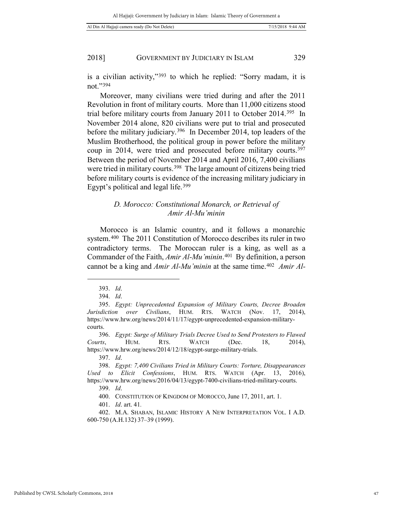is a civilian activity,"[393](#page-46-1) to which he replied: "Sorry madam, it is not."[394](#page-46-2)

Moreover, many civilians were tried during and after the 2011 Revolution in front of military courts. More than 11,000 citizens stood trial before military courts from January 2011 to October 2014.[395](#page-46-3) In November 2014 alone, 820 civilians were put to trial and prosecuted before the military judiciary.[396](#page-46-4) In December 2014, top leaders of the Muslim Brotherhood, the political group in power before the military coup in 2014, were tried and prosecuted before military courts.[397](#page-46-5)  Between the period of November 2014 and April 2016, 7,400 civilians were tried in military courts.<sup>[398](#page-46-6)</sup> The large amount of citizens being tried before military courts is evidence of the increasing military judiciary in Egypt's political and legal life.[399](#page-46-7)

# *D. Morocco: Constitutional Monarch, or Retrieval of Amir Al-Mu'minin*

Morocco is an Islamic country, and it follows a monarchic system.[400](#page-46-8) The 2011 Constitution of Morocco describes its ruler in two contradictory terms. The Moroccan ruler is a king, as well as a Commander of the Faith, *Amir Al-Mu'minin*.[401](#page-46-9) By definition, a person cannot be a king and *Amir Al-Mu'minin* at the same time.[402](#page-46-10) *Amir Al-*

1

397. *Id*.

401. *Id*. art. 41*.*

<sup>393.</sup> *Id*.

<sup>394.</sup> *Id*.

<span id="page-46-3"></span><span id="page-46-2"></span><span id="page-46-1"></span><span id="page-46-0"></span><sup>395.</sup> *Egypt: Unprecedented Expansion of Military Courts, Decree Broaden Jurisdiction over Civilians*, HUM. RTS. WATCH (Nov. 17, 2014), https://www.hrw.org/news/2014/11/17/egypt-unprecedented-expansion-militarycourts.

<span id="page-46-4"></span><sup>396.</sup> *Egypt: Surge of Military Trials Decree Used to Send Protesters to Flawed Courts*, HUM. RTS. WATCH (Dec. 18, 2014), https://www.hrw.org/news/2014/12/18/egypt-surge-military-trials.

<span id="page-46-7"></span><span id="page-46-6"></span><span id="page-46-5"></span><sup>398.</sup> *Egypt: 7,400 Civilians Tried in Military Courts: Torture, Disappearances Used to Elicit Confessions*, HUM. RTS. WATCH (Apr. 13, 2016), https://www.hrw.org/news/2016/04/13/egypt-7400-civilians-tried-military-courts. 399. *Id*.

<sup>400.</sup> CONSTITUTION OF KINGDOM OF MOROCCO, June 17, 2011, art. 1.

<span id="page-46-10"></span><span id="page-46-9"></span><span id="page-46-8"></span><sup>402.</sup> M.A. SHABAN, ISLAMIC HISTORY A NEW INTERPRETATION VOL. I A.D. 600-750 (A.H.132) 37–39 (1999).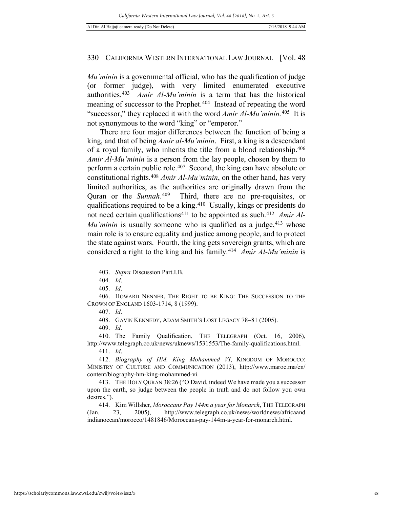*Mu'minin* is a governmental official, who has the qualification of judge (or former judge), with very limited enumerated executive authorities.[403](#page-47-0) *Amir Al-Mu'minin* is a term that has the historical meaning of successor to the Prophet.<sup>[404](#page-47-1)</sup> Instead of repeating the word "successor," they replaced it with the word *Amir Al-Mu'minin.*[405](#page-47-2)It is not synonymous to the word "king" or "emperor."

There are four major differences between the function of being a king, and that of being *Amir al-Mu'minin*. First, a king is a descendant of a royal family, who inherits the title from a blood relationship.[406](#page-47-3)  *Amir Al-Mu'minin* is a person from the lay people, chosen by them to perform a certain public role.[407](#page-47-4) Second, the king can have absolute or constitutional rights.[408](#page-47-5) *Amir Al-Mu'minin*, on the other hand, has very limited authorities, as the authorities are originally drawn from the Quran or the *Sunnah*.[409](#page-47-6) Third, there are no pre-requisites, or qualifications required to be a king.[410](#page-47-7) Usually, kings or presidents do not need certain qualifications<sup>[411](#page-47-8)</sup> to be appointed as such.<sup>412</sup> *Amir Al-Mu'minin* is usually someone who is qualified as a judge, <sup>[413](#page-47-10)</sup> whose main role is to ensure equality and justice among people, and to protect the state against wars. Fourth, the king gets sovereign grants, which are considered a right to the king and his family.<sup>414</sup> *Amir Al-Mu'minin* is

<span id="page-47-0"></span> $\overline{a}$ 

405. *Id*.

<span id="page-47-4"></span><span id="page-47-3"></span><span id="page-47-2"></span><span id="page-47-1"></span>406. HOWARD NENNER, THE RIGHT TO BE KING: THE SUCCESSION TO THE CROWN OF ENGLAND 1603-1714, 8 (1999).

408. GAVIN KENNEDY, ADAM SMITH'S LOST LEGACY 78–81 (2005).

409. *Id*.

<span id="page-47-7"></span><span id="page-47-6"></span><span id="page-47-5"></span>410. The Family Qualification, THE TELEGRAPH (Oct. 16, 2006), http://www.telegraph.co.uk/news/uknews/1531553/The-family-qualifications.html.

411. *Id*.

<span id="page-47-9"></span><span id="page-47-8"></span>412. *Biography of HM. King Mohammed VI*, KINGDOM OF MOROCCO: MINISTRY OF CULTURE AND COMMUNICATION (2013), http://www.maroc.ma/en/ content/biography-hm-king-mohammed-vi.

<span id="page-47-10"></span>413. THE HOLY QURAN 38:26 ("O David, indeed We have made you a successor upon the earth, so judge between the people in truth and do not follow you own desires.").

414. Kim Willsher, *Moroccans Pay 144m a year for Monarch*, THE TELEGRAPH (Jan. 23, 2005), http://www.telegraph.co.uk/news/worldnews/africaand indianocean/morocco/1481846/Moroccans-pay-144m-a-year-for-monarch.html.

<sup>403.</sup> *Supra* Discussion Part.I.B.

<sup>404.</sup> *Id*.

<sup>407.</sup> *Id*.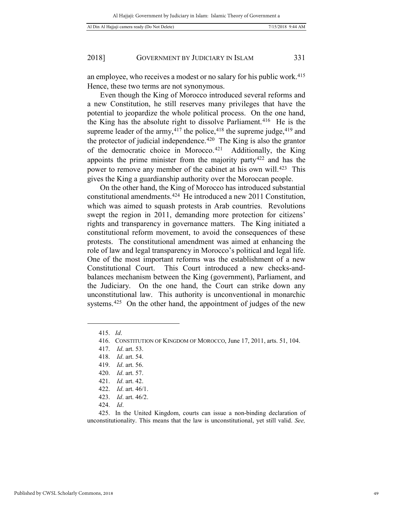an employee, who receives a modest or no salary for his public work.[415](#page-48-0)  Hence, these two terms are not synonymous.

Even though the King of Morocco introduced several reforms and a new Constitution, he still reserves many privileges that have the potential to jeopardize the whole political process. On the one hand, the King has the absolute right to dissolve Parliament.<sup>[416](#page-48-1)</sup> He is the supreme leader of the army,  $4^{17}$  the police,  $4^{18}$  the supreme judge,  $4^{19}$  and the protector of judicial independence.<sup>[420](#page-48-5)</sup> The King is also the grantor of the democratic choice in Morocco.[421](#page-48-6) Additionally, the King appoints the prime minister from the majority party[422](#page-48-7) and has the power to remove any member of the cabinet at his own will.[423](#page-48-8) This gives the King a guardianship authority over the Moroccan people.

On the other hand, the King of Morocco has introduced substantial constitutional amendments.[424](#page-48-9) He introduced a new 2011 Constitution, which was aimed to squash protests in Arab countries. Revolutions swept the region in 2011, demanding more protection for citizens' rights and transparency in governance matters. The King initiated a constitutional reform movement, to avoid the consequences of these protests. The constitutional amendment was aimed at enhancing the role of law and legal transparency in Morocco's political and legal life. One of the most important reforms was the establishment of a new Constitutional Court. This Court introduced a new checks-andbalances mechanism between the King (government), Parliament, and the Judiciary. On the one hand, the Court can strike down any unconstitutional law. This authority is unconventional in monarchic systems.<sup>425</sup> On the other hand, the appointment of judges of the new

<span id="page-48-4"></span><span id="page-48-3"></span><span id="page-48-2"></span><span id="page-48-1"></span><span id="page-48-0"></span>1

424. *Id*.

<sup>415.</sup> *Id*.

<sup>416.</sup> CONSTITUTION OF KINGDOM OF MOROCCO, June 17, 2011, arts. 51, 104.

<sup>417.</sup> *Id*. art. 53.

<sup>418.</sup> *Id*. art. 54.

<sup>419.</sup> *Id*. art. 56.

<sup>420.</sup> *Id*. art. 57.

<sup>421.</sup> *Id*. art. 42.

<sup>422.</sup> *Id*. art. 46/1.

<sup>423.</sup> *Id*. art. 46/2.

<span id="page-48-10"></span><span id="page-48-9"></span><span id="page-48-8"></span><span id="page-48-7"></span><span id="page-48-6"></span><span id="page-48-5"></span><sup>425.</sup> In the United Kingdom, courts can issue a non-binding declaration of unconstitutionality. This means that the law is unconstitutional, yet still valid. *See,*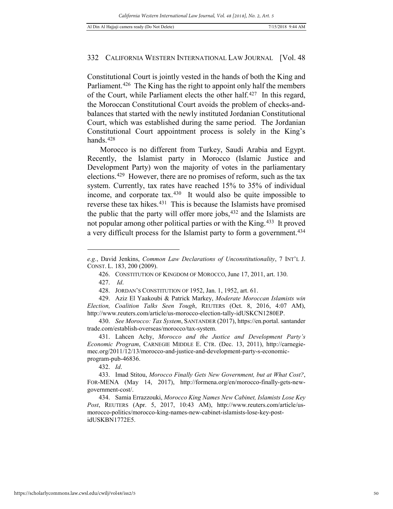Constitutional Court is jointly vested in the hands of both the King and Parliament.<sup>426</sup> The King has the right to appoint only half the members of the Court, while Parliament elects the other half.[427](#page-49-1) In this regard, the Moroccan Constitutional Court avoids the problem of checks-andbalances that started with the newly instituted Jordanian Constitutional Court, which was established during the same period. The Jordanian Constitutional Court appointment process is solely in the King's hands. $428$ 

Morocco is no different from Turkey, Saudi Arabia and Egypt. Recently, the Islamist party in Morocco (Islamic Justice and Development Party) won the majority of votes in the parliamentary elections.[429](#page-49-3) However, there are no promises of reform, such as the tax system. Currently, tax rates have reached 15% to 35% of individual income, and corporate tax.[430](#page-49-4) It would also be quite impossible to reverse these tax hikes.[431](#page-49-5) This is because the Islamists have promised the public that the party will offer more jobs,<sup>[432](#page-49-6)</sup> and the Islamists are not popular among other political parties or with the King.[433](#page-49-7) It proved a very difficult process for the Islamist party to form a government.[434](#page-49-8) 

 $\overline{a}$ 

432. *Id*.

<span id="page-49-0"></span>*e.g.*, David Jenkins, *Common Law Declarations of Unconstitutionality*, 7 INT'L J. CONST. L. 183, 200 (2009).

<sup>426.</sup> CONSTITUTION OF KINGDOM OF MOROCCO, June 17, 2011, art. 130.

<sup>427.</sup> *Id*.

<sup>428.</sup> JORDAN'S CONSTITUTION OF 1952, Jan. 1, 1952, art. 61.

<span id="page-49-3"></span><span id="page-49-2"></span><span id="page-49-1"></span><sup>429.</sup> Aziz El Yaakoubi & Patrick Markey, *Moderate Moroccan Islamists win Election, Coalition Talks Seen Tough*, REUTERS (Oct. 8, 2016, 4:07 AM), http://www.reuters.com/article/us-morocco-election-tally-idUSKCN1280EP.

<span id="page-49-4"></span><sup>430.</sup> *See Morocco: Tax System*, SANTANDER (2017), https://en.portal. santander trade.com/establish-overseas/morocco/tax-system.

<span id="page-49-5"></span><sup>431.</sup> Lahcen Achy, *Morocco and the Justice and Development Party's Economic Program*, CARNEGIE MIDDLE E. CTR. (Dec. 13, 2011), http://carnegiemec.org/2011/12/13/morocco-and-justice-and-development-party-s-economicprogram-pub-46836.

<span id="page-49-7"></span><span id="page-49-6"></span><sup>433.</sup> Imad Stitou, *Morocco Finally Gets New Government, but at What Cost?*, FOR-MENA (May 14, 2017), http://formena.org/en/morocco-finally-gets-newgovernment-cost/.

<span id="page-49-8"></span><sup>434.</sup> Samia Errazzouki, *Morocco King Names New Cabinet, Islamists Lose Key Post*, REUTERS (Apr. 5, 2017, 10:43 AM), http://www.reuters.com/article/usmorocco-politics/morocco-king-names-new-cabinet-islamists-lose-key-postidUSKBN1772E5.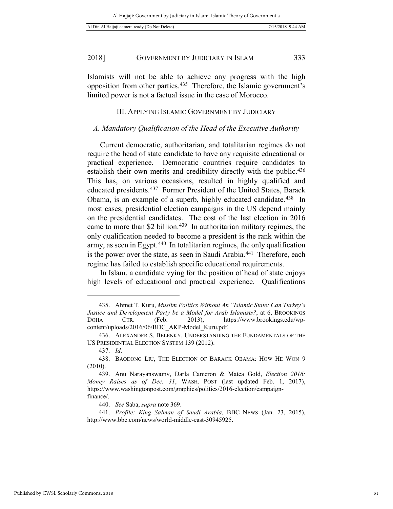Islamists will not be able to achieve any progress with the high opposition from other parties.[435](#page-50-0) Therefore, the Islamic government's limited power is not a factual issue in the case of Morocco.

#### III. APPLYING ISLAMIC GOVERNMENT BY JUDICIARY

# *A. Mandatory Qualification of the Head of the Executive Authority*

Current democratic, authoritarian, and totalitarian regimes do not require the head of state candidate to have any requisite educational or practical experience. Democratic countries require candidates to establish their own merits and credibility directly with the public.<sup>436</sup> This has, on various occasions, resulted in highly qualified and educated presidents.[437](#page-50-2) Former President of the United States, Barack Obama, is an example of a superb, highly educated candidate.[438](#page-50-3) In most cases, presidential election campaigns in the US depend mainly on the presidential candidates. The cost of the last election in 2016 came to more than \$2 billion.<sup>[439](#page-50-4)</sup> In authoritarian military regimes, the only qualification needed to become a president is the rank within the army, as seen in Egypt.[440](#page-50-5) In totalitarian regimes, the only qualification is the power over the state, as seen in Saudi Arabia.<sup>[441](#page-50-6)</sup> Therefore, each regime has failed to establish specific educational requirements.

In Islam, a candidate vying for the position of head of state enjoys high levels of educational and practical experience. Qualifications

<span id="page-50-0"></span><sup>435.</sup> Ahmet T. Kuru, *Muslim Politics Without An "Islamic State: Can Turkey's Justice and Development Party be a Model for Arab Islamists?*, at 6, BROOKINGS DOHA CTR. (Feb. 2013), https://www.brookings.edu/wpcontent/uploads/2016/06/BDC\_AKP-Model\_Kuru.pdf.

<span id="page-50-1"></span><sup>436.</sup> ALEXANDER S. BELENKY, UNDERSTANDING THE FUNDAMENTALS OF THE US PRESIDENTIAL ELECTION SYSTEM 139 (2012).

<sup>437.</sup> *Id*.

<span id="page-50-3"></span><span id="page-50-2"></span><sup>438.</sup> BAODONG LIU, THE ELECTION OF BARACK OBAMA: HOW HE WON 9 (2010).

<span id="page-50-4"></span><sup>439.</sup> Anu Narayanswamy, Darla Cameron & Matea Gold, *Election 2016: Money Raises as of Dec. 31*, WASH. POST (last updated Feb. 1, 2017), https://www.washingtonpost.com/graphics/politics/2016-election/campaignfinance/.

<sup>440.</sup> *See* Saba, *supra* note 369.

<span id="page-50-6"></span><span id="page-50-5"></span><sup>441.</sup> *Profile: King Salman of Saudi Arabia*, BBC NEWS (Jan. 23, 2015), http://www.bbc.com/news/world-middle-east-30945925.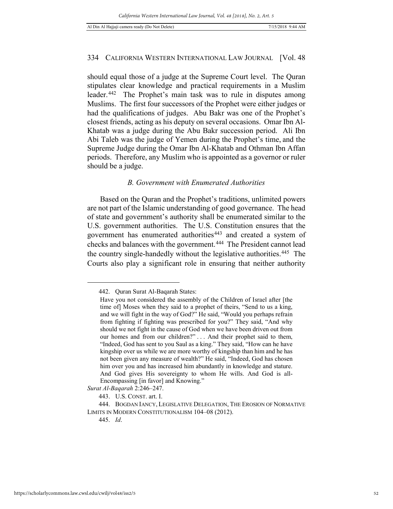should equal those of a judge at the Supreme Court level. The Quran stipulates clear knowledge and practical requirements in a Muslim leader.[442](#page-51-0) The Prophet's main task was to rule in disputes among Muslims. The first four successors of the Prophet were either judges or had the qualifications of judges. Abu Bakr was one of the Prophet's closest friends, acting as his deputy on several occasions. Omar Ibn Al-Khatab was a judge during the Abu Bakr succession period. Ali Ibn Abi Taleb was the judge of Yemen during the Prophet's time, and the Supreme Judge during the Omar Ibn Al-Khatab and Othman Ibn Affan periods. Therefore, any Muslim who is appointed as a governor or ruler should be a judge.

# *B. Government with Enumerated Authorities*

Based on the Quran and the Prophet's traditions, unlimited powers are not part of the Islamic understanding of good governance. The head of state and government's authority shall be enumerated similar to the U.S. government authorities. The U.S. Constitution ensures that the government has enumerated authorities<sup>[443](#page-51-1)</sup> and created a system of checks and balances with the government.[444](#page-51-2) The President cannot lead the country single-handedly without the legislative authorities.[445](#page-51-3) The Courts also play a significant role in ensuring that neither authority

<span id="page-51-0"></span><sup>442.</sup> Quran Surat Al-Baqarah States:

Have you not considered the assembly of the Children of Israel after [the time of] Moses when they said to a prophet of theirs, "Send to us a king, and we will fight in the way of God?" He said, "Would you perhaps refrain from fighting if fighting was prescribed for you?" They said, "And why should we not fight in the cause of God when we have been driven out from our homes and from our children?" . . . And their prophet said to them, "Indeed, God has sent to you Saul as a king." They said, "How can he have kingship over us while we are more worthy of kingship than him and he has not been given any measure of wealth?" He said, "Indeed, God has chosen him over you and has increased him abundantly in knowledge and stature. And God gives His sovereignty to whom He wills. And God is all-Encompassing [in favor] and Knowing."

<span id="page-51-1"></span>*Surat Al-Baqarah* 2:246–247.

<sup>443.</sup> U.S. CONST. art. I.

<span id="page-51-3"></span><span id="page-51-2"></span><sup>444.</sup> BOGDAN IANCY, LEGISLATIVE DELEGATION, THE EROSION OF NORMATIVE LIMITS IN MODERN CONSTITUTIONALISM 104–08 (2012).

<sup>445.</sup> *Id*.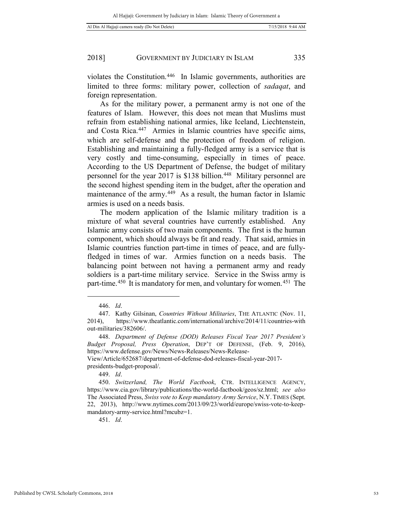violates the Constitution.[446](#page-52-0) In Islamic governments, authorities are limited to three forms: military power, collection of *sadaqat*, and foreign representation.

As for the military power, a permanent army is not one of the features of Islam. However, this does not mean that Muslims must refrain from establishing national armies, like Iceland, Liechtenstein, and Costa Rica.[447](#page-52-1) Armies in Islamic countries have specific aims, which are self-defense and the protection of freedom of religion. Establishing and maintaining a fully-fledged army is a service that is very costly and time-consuming, especially in times of peace. According to the US Department of Defense, the budget of military personnel for the year 2017 is \$138 billion.[448](#page-52-2) Military personnel are the second highest spending item in the budget, after the operation and maintenance of the army.<sup>[449](#page-52-3)</sup> As a result, the human factor in Islamic armies is used on a needs basis.

The modern application of the Islamic military tradition is a mixture of what several countries have currently established. Any Islamic army consists of two main components. The first is the human component, which should always be fit and ready. That said, armies in Islamic countries function part-time in times of peace, and are fullyfledged in times of war. Armies function on a needs basis. The balancing point between not having a permanent army and ready soldiers is a part-time military service. Service in the Swiss army is part-time.<sup>450</sup> It is mandatory for men, and voluntary for women.<sup>[451](#page-52-5)</sup> The

1

View/Article/652687/department-of-defense-dod-releases-fiscal-year-2017 presidents-budget-proposal/.

449. *Id*.

451. *Id*.

<sup>446.</sup> *Id*.

<span id="page-52-1"></span><span id="page-52-0"></span><sup>447.</sup> Kathy Gilsinan, *Countries Without Militaries*, THE ATLANTIC (Nov. 11, 2014), https://www.theatlantic.com/international/archive/2014/11/countries-with out-militaries/382606/.

<span id="page-52-2"></span><sup>448.</sup> *Department of Defense (DOD) Releases Fiscal Year 2017 President's Budget Proposal, Press Operation*, DEP'T OF DEFENSE, (Feb. 9, 2016), https://www.defense.gov/News/News-Releases/News-Release-

<span id="page-52-5"></span><span id="page-52-4"></span><span id="page-52-3"></span><sup>450.</sup> *Switzerland, The World Factbook*, CTR. INTELLIGENCE AGENCY, https://www.cia.gov/library/publications/the-world-factbook/geos/sz.html; *see also*  The Associated Press, *Swiss vote to Keep mandatory Army Service*, N.Y. TIMES (Sept. 22, 2013), http://www.nytimes.com/2013/09/23/world/europe/swiss-vote-to-keepmandatory-army-service.html?mcubz=1.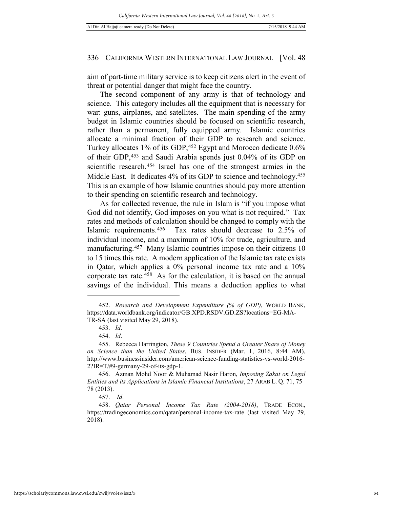aim of part-time military service is to keep citizens alert in the event of threat or potential danger that might face the country.

The second component of any army is that of technology and science. This category includes all the equipment that is necessary for war: guns, airplanes, and satellites. The main spending of the army budget in Islamic countries should be focused on scientific research, rather than a permanent, fully equipped army. Islamic countries allocate a minimal fraction of their GDP to research and science. Turkey allocates 1% of its GDP, <sup>[452](#page-53-0)</sup> Egypt and Morocco dedicate 0.6% of their GDP,[453](#page-53-1) and Saudi Arabia spends just 0.04% of its GDP on scientific research.[454](#page-53-2) Israel has one of the strongest armies in the Middle East. It dedicates 4% of its GDP to science and technology.<sup>455</sup> This is an example of how Islamic countries should pay more attention to their spending on scientific research and technology.

As for collected revenue, the rule in Islam is "if you impose what God did not identify, God imposes on you what is not required." Tax rates and methods of calculation should be changed to comply with the Islamic requirements.[456](#page-53-4) Tax rates should decrease to 2.5% of individual income, and a maximum of 10% for trade, agriculture, and manufacturing.<sup>457</sup> Many Islamic countries impose on their citizens 10 to 15 times this rate. A modern application of the Islamic tax rate exists in Qatar, which applies a 0% personal income tax rate and a 10% corporate tax rate.[458](#page-53-6) As for the calculation, it is based on the annual savings of the individual. This means a deduction applies to what

<span id="page-53-0"></span><sup>452.</sup> *Research and Development Expenditure (% of GDP)*, WORLD BANK, https://data.worldbank.org/indicator/GB.XPD.RSDV.GD.ZS?locations=EG-MA-TR-SA (last visited May 29, 2018).

<sup>453.</sup> *Id*.

<sup>454.</sup> *Id*.

<span id="page-53-3"></span><span id="page-53-2"></span><span id="page-53-1"></span><sup>455.</sup> Rebecca Harrington, *These 9 Countries Spend a Greater Share of Money on Science than the United States*, BUS. INSIDER (Mar. 1, 2016, 8:44 AM), http://www.businessinsider.com/american-science-funding-statistics-vs-world-2016- 2?IR=T/#9-germany-29-of-its-gdp-1.

<span id="page-53-4"></span><sup>456.</sup> Azman Mohd Noor & Muhamad Nasir Haron, *Imposing Zakat on Legal Entities and its Applications in Islamic Financial Institutions*, 27 ARAB L. Q. 71, 75– 78 (2013).

<sup>457.</sup> *Id*.

<span id="page-53-6"></span><span id="page-53-5"></span><sup>458.</sup> *Qatar Personal Income Tax Rate (2004-2018)*, TRADE ECON., https://tradingeconomics.com/qatar/personal-income-tax-rate (last visited May 29, 2018).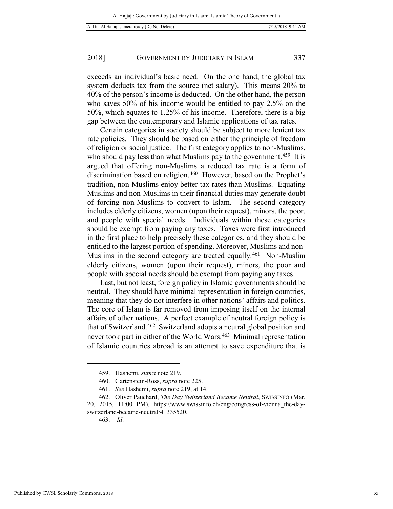exceeds an individual's basic need. On the one hand, the global tax system deducts tax from the source (net salary). This means 20% to 40% of the person's income is deducted. On the other hand, the person who saves 50% of his income would be entitled to pay 2.5% on the 50%, which equates to 1.25% of his income. Therefore, there is a big gap between the contemporary and Islamic applications of tax rates.

Certain categories in society should be subject to more lenient tax rate policies. They should be based on either the principle of freedom of religion or social justice. The first category applies to non-Muslims, who should pay less than what Muslims pay to the government.<sup>459</sup> It is argued that offering non-Muslims a reduced tax rate is a form of discrimination based on religion.[460](#page-54-1) However, based on the Prophet's tradition, non-Muslims enjoy better tax rates than Muslims. Equating Muslims and non-Muslims in their financial duties may generate doubt of forcing non-Muslims to convert to Islam. The second category includes elderly citizens, women (upon their request), minors, the poor, and people with special needs. Individuals within these categories should be exempt from paying any taxes. Taxes were first introduced in the first place to help precisely these categories, and they should be entitled to the largest portion of spending. Moreover, Muslims and non-Muslims in the second category are treated equally.[461](#page-54-2) Non-Muslim elderly citizens, women (upon their request), minors, the poor and people with special needs should be exempt from paying any taxes.

Last, but not least, foreign policy in Islamic governments should be neutral. They should have minimal representation in foreign countries, meaning that they do not interfere in other nations' affairs and politics. The core of Islam is far removed from imposing itself on the internal affairs of other nations. A perfect example of neutral foreign policy is that of Switzerland.[462](#page-54-3) Switzerland adopts a neutral global position and never took part in either of the World Wars.[463](#page-54-4) Minimal representation of Islamic countries abroad is an attempt to save expenditure that is

<sup>459.</sup> Hashemi, *supra* note 219.

<sup>460.</sup> Gartenstein-Ross, *supra* note 225.

<sup>461.</sup> *See* Hashemi, *supra* note 219, at 14.

<span id="page-54-4"></span><span id="page-54-3"></span><span id="page-54-2"></span><span id="page-54-1"></span><span id="page-54-0"></span><sup>462.</sup> Oliver Pauchard, *The Day Switzerland Became Neutral*, SWISSINFO (Mar. 20, 2015, 11:00 PM), https://www.swissinfo.ch/eng/congress-of-vienna\_the-dayswitzerland-became-neutral/41335520.

<sup>463.</sup> *Id*.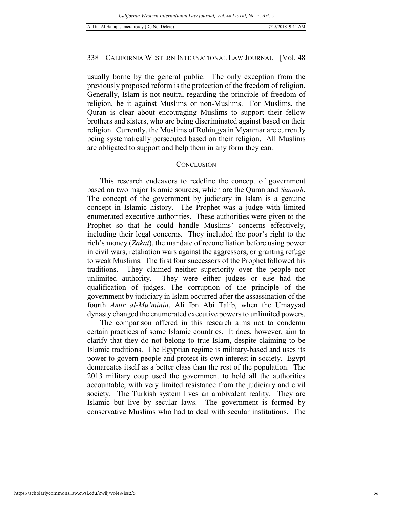*California Western International Law Journal, Vol. 48 [2018], No. 2, Art. 5*

# 338 CALIFORNIA WESTERN INTERNATIONAL LAW JOURNAL [Vol. 48

usually borne by the general public. The only exception from the previously proposed reform is the protection of the freedom of religion. Generally, Islam is not neutral regarding the principle of freedom of religion, be it against Muslims or non-Muslims. For Muslims, the Quran is clear about encouraging Muslims to support their fellow brothers and sisters, who are being discriminated against based on their religion. Currently, the Muslims of Rohingya in Myanmar are currently being systematically persecuted based on their religion. All Muslims are obligated to support and help them in any form they can.

#### **CONCLUSION**

This research endeavors to redefine the concept of government based on two major Islamic sources, which are the Quran and *Sunnah*. The concept of the government by judiciary in Islam is a genuine concept in Islamic history. The Prophet was a judge with limited enumerated executive authorities. These authorities were given to the Prophet so that he could handle Muslims' concerns effectively, including their legal concerns. They included the poor's right to the rich's money (*Zakat*), the mandate of reconciliation before using power in civil wars, retaliation wars against the aggressors, or granting refuge to weak Muslims. The first four successors of the Prophet followed his traditions. They claimed neither superiority over the people nor unlimited authority. They were either judges or else had the qualification of judges. The corruption of the principle of the government by judiciary in Islam occurred after the assassination of the fourth *Amir al-Mu'minin*, Ali Ibn Abi Talib, when the Umayyad dynasty changed the enumerated executive powers to unlimited powers.

The comparison offered in this research aims not to condemn certain practices of some Islamic countries. It does, however, aim to clarify that they do not belong to true Islam, despite claiming to be Islamic traditions. The Egyptian regime is military-based and uses its power to govern people and protect its own interest in society. Egypt demarcates itself as a better class than the rest of the population. The 2013 military coup used the government to hold all the authorities accountable, with very limited resistance from the judiciary and civil society. The Turkish system lives an ambivalent reality. They are Islamic but live by secular laws. The government is formed by conservative Muslims who had to deal with secular institutions. The